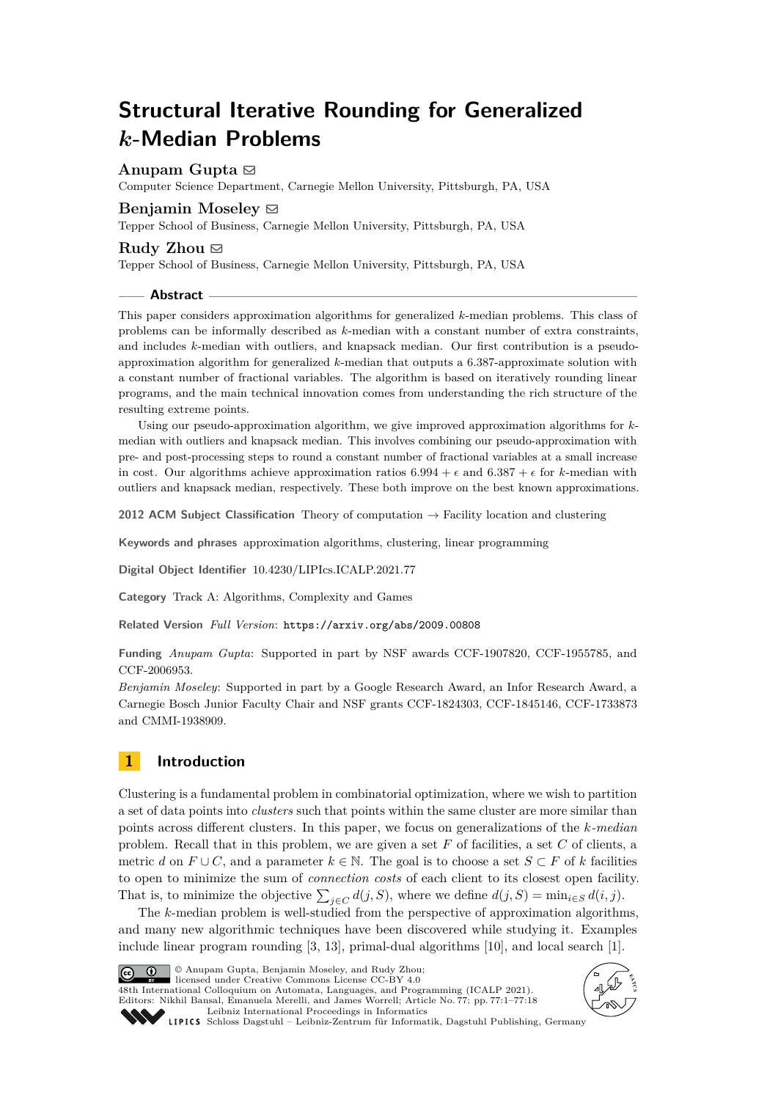# **Structural Iterative Rounding for Generalized** *k***-Median Problems**

# Anupam Gupta  $\boxdot$

Computer Science Department, Carnegie Mellon University, Pittsburgh, PA, USA

## **Benjamin Moseley** [#](mailto:moseleyb@andrew.cmu.edu)

Tepper School of Business, Carnegie Mellon University, Pittsburgh, PA, USA

## **Rudy Zhou**  $\boxtimes$

Tepper School of Business, Carnegie Mellon University, Pittsburgh, PA, USA

## **Abstract**

This paper considers approximation algorithms for generalized *k*-median problems. This class of problems can be informally described as *k*-median with a constant number of extra constraints, and includes *k*-median with outliers, and knapsack median. Our first contribution is a pseudoapproximation algorithm for generalized *k*-median that outputs a 6*.*387-approximate solution with a constant number of fractional variables. The algorithm is based on iteratively rounding linear programs, and the main technical innovation comes from understanding the rich structure of the resulting extreme points.

Using our pseudo-approximation algorithm, we give improved approximation algorithms for *k*median with outliers and knapsack median. This involves combining our pseudo-approximation with pre- and post-processing steps to round a constant number of fractional variables at a small increase in cost. Our algorithms achieve approximation ratios  $6.994 + \epsilon$  and  $6.387 + \epsilon$  for *k*-median with outliers and knapsack median, respectively. These both improve on the best known approximations.

**2012 ACM Subject Classification** Theory of computation → Facility location and clustering

**Keywords and phrases** approximation algorithms, clustering, linear programming

**Digital Object Identifier** [10.4230/LIPIcs.ICALP.2021.77](https://doi.org/10.4230/LIPIcs.ICALP.2021.77)

**Category** Track A: Algorithms, Complexity and Games

**Related Version** *Full Version*: <https://arxiv.org/abs/2009.00808>

**Funding** *Anupam Gupta*: Supported in part by NSF awards CCF-1907820, CCF-1955785, and CCF-2006953.

*Benjamin Moseley*: Supported in part by a Google Research Award, an Infor Research Award, a Carnegie Bosch Junior Faculty Chair and NSF grants CCF-1824303, CCF-1845146, CCF-1733873 and CMMI-1938909.

# **1 Introduction**

Clustering is a fundamental problem in combinatorial optimization, where we wish to partition a set of data points into *clusters* such that points within the same cluster are more similar than points across different clusters. In this paper, we focus on generalizations of the *k-median* problem. Recall that in this problem, we are given a set *F* of facilities, a set *C* of clients, a metric *d* on  $F \cup C$ , and a parameter  $k \in \mathbb{N}$ . The goal is to choose a set  $S \subset F$  of *k* facilities to open to minimize the sum of *connection costs* of each client to its closest open facility. That is, to minimize the objective  $\sum_{j \in C} d(j, S)$ , where we define  $d(j, S) = \min_{i \in S} d(i, j)$ .

The *k*-median problem is well-studied from the perspective of approximation algorithms, and many new algorithmic techniques have been discovered while studying it. Examples include linear program rounding [\[3,](#page-16-0) [13\]](#page-17-0), primal-dual algorithms [\[10\]](#page-17-1), and local search [\[1\]](#page-16-1).



© Anupam Gupta, Benjamin Moseley, and Rudy Zhou; licensed under Creative Commons License CC-BY 4.0

48th International Colloquium on Automata, Languages, and Programming (ICALP 2021). Editors: Nikhil Bansal, Emanuela Merelli, and James Worrell; Article No. 77; pp. 77:1–77:18 [Leibniz International Proceedings in Informatics](https://www.dagstuhl.de/lipics/) SCHLOSS Dagstuhl – Leibniz-Zentrum für Informatik, Dagstuhl Publishing, Germany

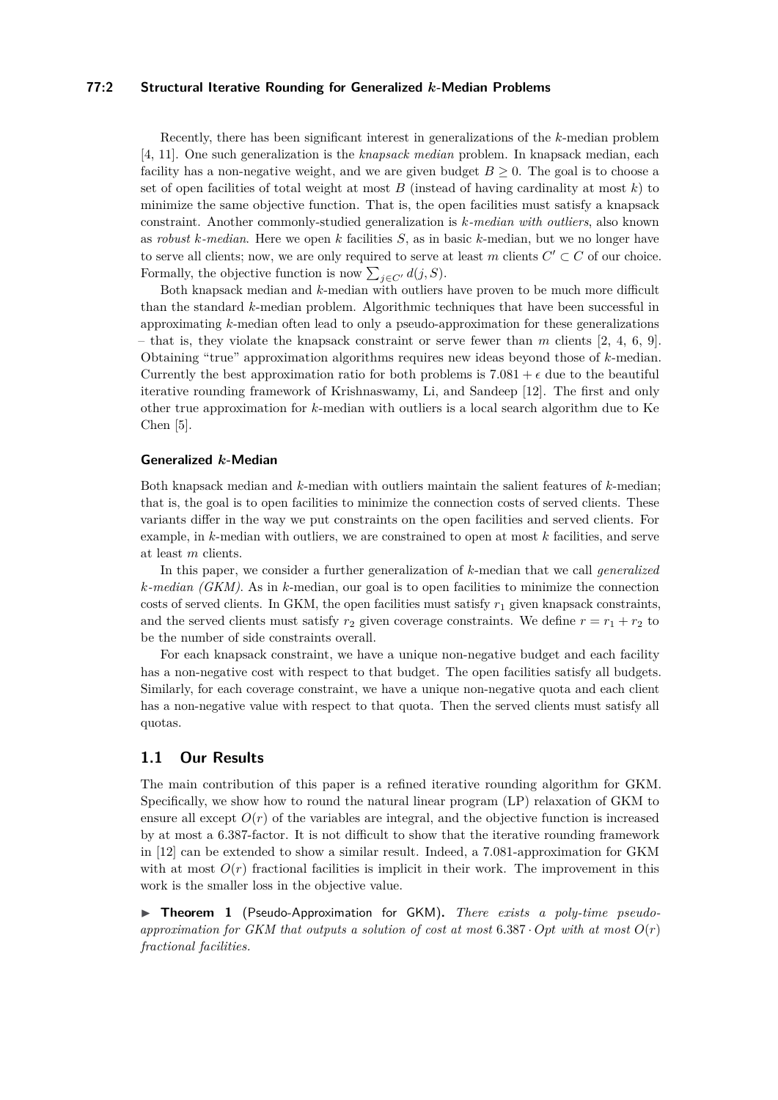## **77:2 Structural Iterative Rounding for Generalized** *k***-Median Problems**

Recently, there has been significant interest in generalizations of the *k*-median problem [\[4,](#page-16-2) [11\]](#page-17-2). One such generalization is the *knapsack median* problem. In knapsack median, each facility has a non-negative weight, and we are given budget  $B \geq 0$ . The goal is to choose a set of open facilities of total weight at most *B* (instead of having cardinality at most *k*) to minimize the same objective function. That is, the open facilities must satisfy a knapsack constraint. Another commonly-studied generalization is *k-median with outliers*, also known as *robust k-median*. Here we open *k* facilities *S*, as in basic *k*-median, but we no longer have to serve all clients; now, we are only required to serve at least *m* clients  $C' \subset C$  of our choice. Formally, the objective function is now  $\sum_{j \in C'} d(j, S)$ .

Both knapsack median and *k*-median with outliers have proven to be much more difficult than the standard *k*-median problem. Algorithmic techniques that have been successful in approximating *k*-median often lead to only a pseudo-approximation for these generalizations – that is, they violate the knapsack constraint or serve fewer than *m* clients [\[2,](#page-16-3) [4,](#page-16-2) [6,](#page-17-3) [9\]](#page-17-4). Obtaining "true" approximation algorithms requires new ideas beyond those of *k*-median. Currently the best approximation ratio for both problems is  $7.081 + \epsilon$  due to the beautiful iterative rounding framework of Krishnaswamy, Li, and Sandeep [\[12\]](#page-17-5). The first and only other true approximation for *k*-median with outliers is a local search algorithm due to Ke Chen [\[5\]](#page-16-4).

#### **Generalized** *k***-Median**

Both knapsack median and *k*-median with outliers maintain the salient features of *k*-median; that is, the goal is to open facilities to minimize the connection costs of served clients. These variants differ in the way we put constraints on the open facilities and served clients. For example, in *k*-median with outliers, we are constrained to open at most *k* facilities, and serve at least *m* clients.

In this paper, we consider a further generalization of *k*-median that we call *generalized k-median (GKM)*. As in *k*-median, our goal is to open facilities to minimize the connection costs of served clients. In GKM, the open facilities must satisfy  $r_1$  given knapsack constraints, and the served clients must satisfy  $r_2$  given coverage constraints. We define  $r = r_1 + r_2$  to be the number of side constraints overall.

For each knapsack constraint, we have a unique non-negative budget and each facility has a non-negative cost with respect to that budget. The open facilities satisfy all budgets. Similarly, for each coverage constraint, we have a unique non-negative quota and each client has a non-negative value with respect to that quota. Then the served clients must satisfy all quotas.

## **1.1 Our Results**

The main contribution of this paper is a refined iterative rounding algorithm for GKM. Specifically, we show how to round the natural linear program (LP) relaxation of GKM to ensure all except  $O(r)$  of the variables are integral, and the objective function is increased by at most a 6*.*387-factor. It is not difficult to show that the iterative rounding framework in [\[12\]](#page-17-5) can be extended to show a similar result. Indeed, a 7*.*081-approximation for GKM with at most  $O(r)$  fractional facilities is implicit in their work. The improvement in this work is the smaller loss in the objective value.

<span id="page-1-0"></span>▶ **Theorem 1** (Pseudo-Approximation for GKM)**.** *There exists a poly-time pseudoapproximation for GKM that outputs a solution of cost at most* 6*.*387 · *Opt with at most O*(*r*) *fractional facilities.*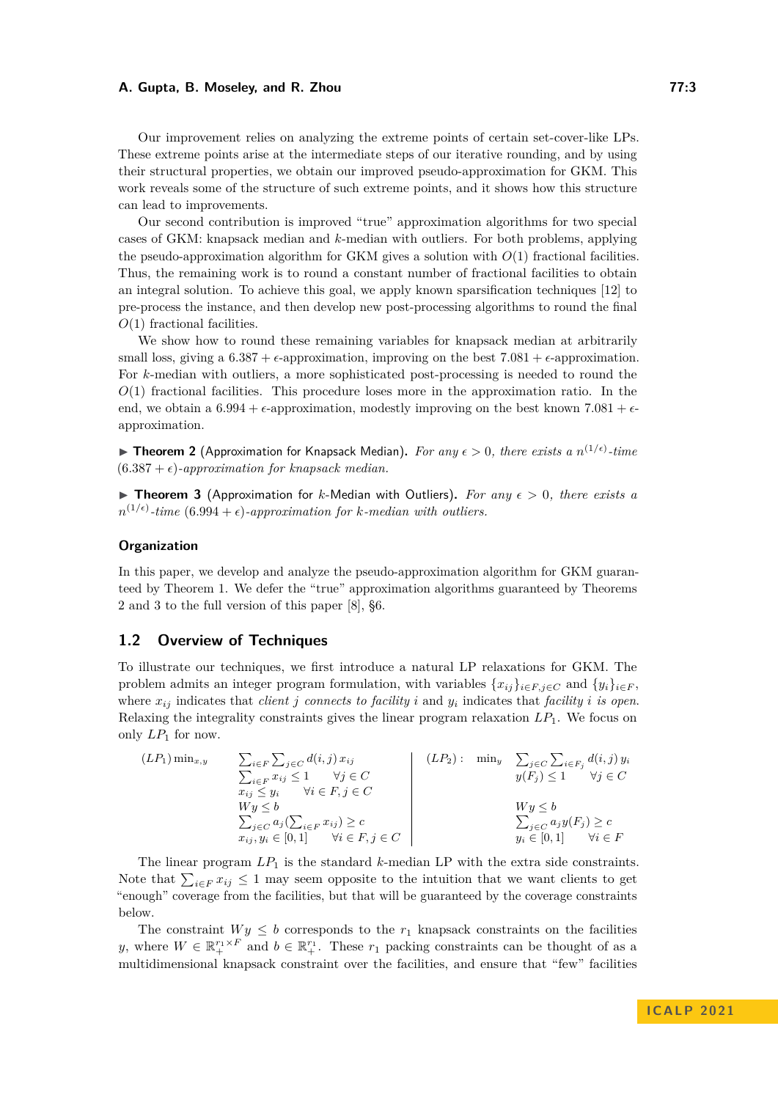Our improvement relies on analyzing the extreme points of certain set-cover-like LPs. These extreme points arise at the intermediate steps of our iterative rounding, and by using their structural properties, we obtain our improved pseudo-approximation for GKM. This work reveals some of the structure of such extreme points, and it shows how this structure can lead to improvements.

Our second contribution is improved "true" approximation algorithms for two special cases of GKM: knapsack median and *k*-median with outliers. For both problems, applying the pseudo-approximation algorithm for GKM gives a solution with  $O(1)$  fractional facilities. Thus, the remaining work is to round a constant number of fractional facilities to obtain an integral solution. To achieve this goal, we apply known sparsification techniques [\[12\]](#page-17-5) to pre-process the instance, and then develop new post-processing algorithms to round the final *O*(1) fractional facilities.

We show how to round these remaining variables for knapsack median at arbitrarily small loss, giving a  $6.387 + \epsilon$ -approximation, improving on the best  $7.081 + \epsilon$ -approximation. For *k*-median with outliers, a more sophisticated post-processing is needed to round the *O*(1) fractional facilities. This procedure loses more in the approximation ratio. In the end, we obtain a  $6.994 + \epsilon$ -approximation, modestly improving on the best known  $7.081 + \epsilon$ approximation.

<span id="page-2-0"></span>▶ **Theorem 2** (Approximation for Knapsack Median). For any  $\epsilon > 0$ , there exists a  $n^{(1/\epsilon)}$ -time  $(6.387 + \epsilon)$ -approximation for knapsack median.

<span id="page-2-1"></span>▶ **Theorem 3** (Approximation for *k*-Median with Outliers)**.** *For any ϵ >* 0*, there exists a*  $n^{(1/\epsilon)}$ -time  $(6.994 + \epsilon)$ -approximation for *k*-median with outliers.

## **Organization**

In this paper, we develop and analyze the pseudo-approximation algorithm for GKM guaranteed by Theorem [1.](#page-1-0) We defer the "true" approximation algorithms guaranteed by Theorems [2](#page-2-0) and [3](#page-2-1) to the full version of this paper [\[8\]](#page-17-6), §6.

## **1.2 Overview of Techniques**

To illustrate our techniques, we first introduce a natural LP relaxations for GKM. The problem admits an integer program formulation, with variables  $\{x_{ij}\}_{i \in F, j \in C}$  and  $\{y_i\}_{i \in F}$ , where  $x_{ij}$  indicates that *client j* connects to facility *i* and  $y_i$  indicates that facility *i* is open. Relaxing the integrality constraints gives the linear program relaxation *LP*1. We focus on only  $LP_1$  for now.

$$
(LP_1) \min_{x,y} \quad\n \begin{array}{ll}\n \sum_{i \in F} \sum_{j \in C} d(i,j) \, x_{ij} \\
 \sum_{i \in F} x_{ij} \leq 1 \quad \forall j \in C \\
 x_{ij} \leq y_i \quad \forall i \in F, j \in C\n \end{array}\n\quad\n \begin{array}{ll}\n \begin{array}{ll}\n \text{(LP}_2): \quad \min_y \quad \sum_{j \in C} \sum_{i \in F_j} d(i,j) \, y_i \\
 y(F_j) \leq 1 \quad \forall j \in C\n \end{array}\n\end{array}
$$
\n
$$
\begin{array}{ll}\n \sum_{j \in C} \sum_{i \in F_j} d(i,j) \, y_i \\
 y(F_j) \leq 1 \quad \forall j \in C\n \end{array}
$$
\n
$$
\begin{array}{ll}\n \sum_{j \in C} \sum_{i \in F_j} d(i,j) \, y_i \\
 y(F_j) \leq 1 \quad \forall j \in C\n \end{array}
$$

The linear program  $LP_1$  is the standard  $k$ -median  $LP$  with the extra side constraints. Note that  $\sum_{i \in F} x_{ij} \leq 1$  may seem opposite to the intuition that we want clients to get "enough" coverage from the facilities, but that will be guaranteed by the coverage constraints below.

The constraint  $Wy \leq b$  corresponds to the  $r_1$  knapsack constraints on the facilities *y*, where  $W \in \mathbb{R}^{r_1 \times F}_+$  and  $b \in \mathbb{R}^{r_1}_+$ . These  $r_1$  packing constraints can be thought of as a multidimensional knapsack constraint over the facilities, and ensure that "few" facilities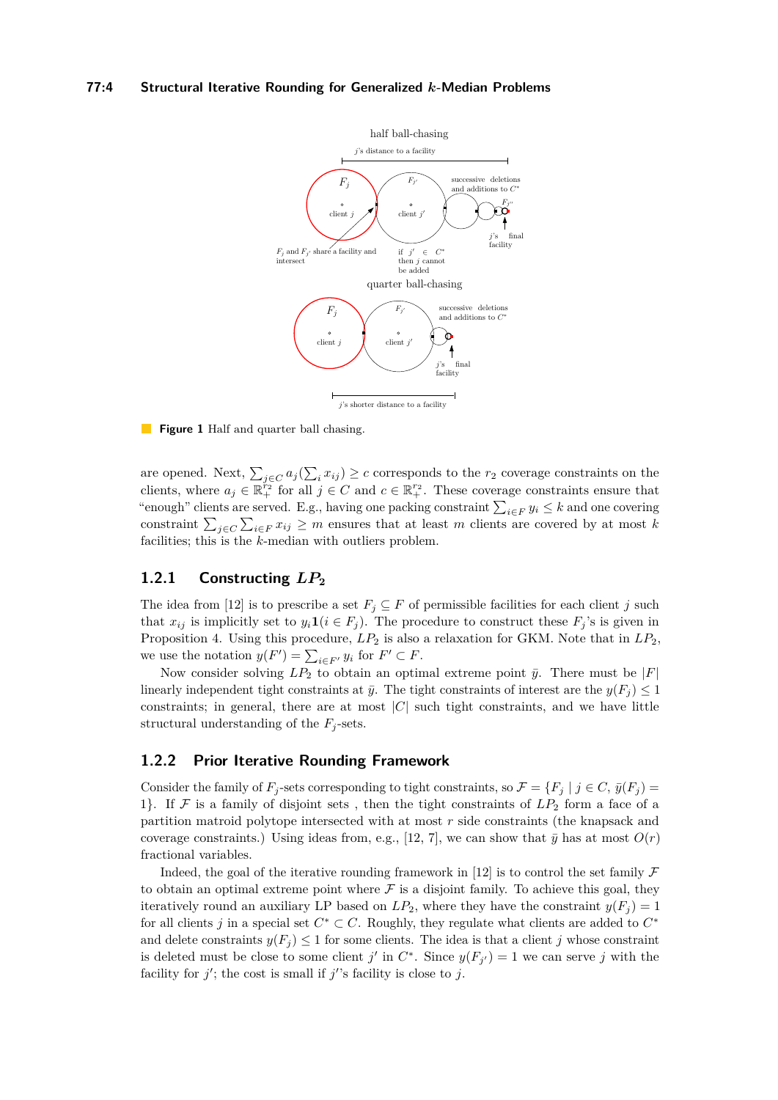### <span id="page-3-0"></span>**77:4 Structural Iterative Rounding for Generalized** *k***-Median Problems**



#### **Figure 1** Half and quarter ball chasing.

are opened. Next,  $\sum_{j\in C} a_j(\sum_i x_{ij}) \ge c$  corresponds to the  $r_2$  coverage constraints on the clients, where  $a_j \in \mathbb{R}_+^{r_2}$  for all  $j \in C$  and  $c \in \mathbb{R}_+^{r_2}$ . These coverage constraints ensure that "enough" clients are served. E.g., having one packing constraint  $\sum_{i \in F} y_i \leq k$  and one covering constraint  $\sum_{j\in C}\sum_{i\in F}x_{ij}\geq m$  ensures that at least *m* clients are covered by at most *k* facilities; this is the *k*-median with outliers problem.

# **1.2.1 Constructing** *LP***<sup>2</sup>**

The idea from [\[12\]](#page-17-5) is to prescribe a set  $F_j \subseteq F$  of permissible facilities for each client *j* such that  $x_{ij}$  is implicitly set to  $y_i \mathbf{1}(i \in F_j)$ . The procedure to construct these  $F_j$ 's is given in Proposition [4.](#page-5-0) Using this procedure,  $LP_2$  is also a relaxation for GKM. Note that in  $LP_2$ , we use the notation  $y(F') = \sum_{i \in F'} y_i$  for  $F' \subset F$ .

Now consider solving  $LP_2$  to obtain an optimal extreme point  $\bar{y}$ . There must be  $|F|$ linearly independent tight constraints at  $\bar{y}$ . The tight constraints of interest are the  $y(F_i) \leq 1$ constraints; in general, there are at most  $|C|$  such tight constraints, and we have little structural understanding of the  $F_j$ -sets.

# **1.2.2 Prior Iterative Rounding Framework**

Consider the family of  $F_j$ -sets corresponding to tight constraints, so  $\mathcal{F} = \{F_j \mid j \in C, y(F_j) = 0\}$ 1}. If  $\mathcal F$  is a family of disjoint sets, then the tight constraints of  $LP_2$  form a face of a partition matroid polytope intersected with at most *r* side constraints (the knapsack and coverage constraints.) Using ideas from, e.g., [\[12,](#page-17-5) [7\]](#page-17-7), we can show that  $\bar{y}$  has at most  $O(r)$ fractional variables.

Indeed, the goal of the iterative rounding framework in [\[12\]](#page-17-5) is to control the set family  $\mathcal F$ to obtain an optimal extreme point where  $\mathcal F$  is a disjoint family. To achieve this goal, they iteratively round an auxiliary LP based on  $LP_2$ , where they have the constraint  $y(F_i) = 1$ for all clients *j* in a special set  $C^* \subset C$ . Roughly, they regulate what clients are added to  $C^*$ and delete constraints  $y(F_i) \leq 1$  for some clients. The idea is that a client *j* whose constraints is deleted must be close to some client *j'* in  $C^*$ . Since  $y(F_{j'}) = 1$  we can serve *j* with the facility for  $j'$ ; the cost is small if  $j'$ 's facility is close to  $j$ .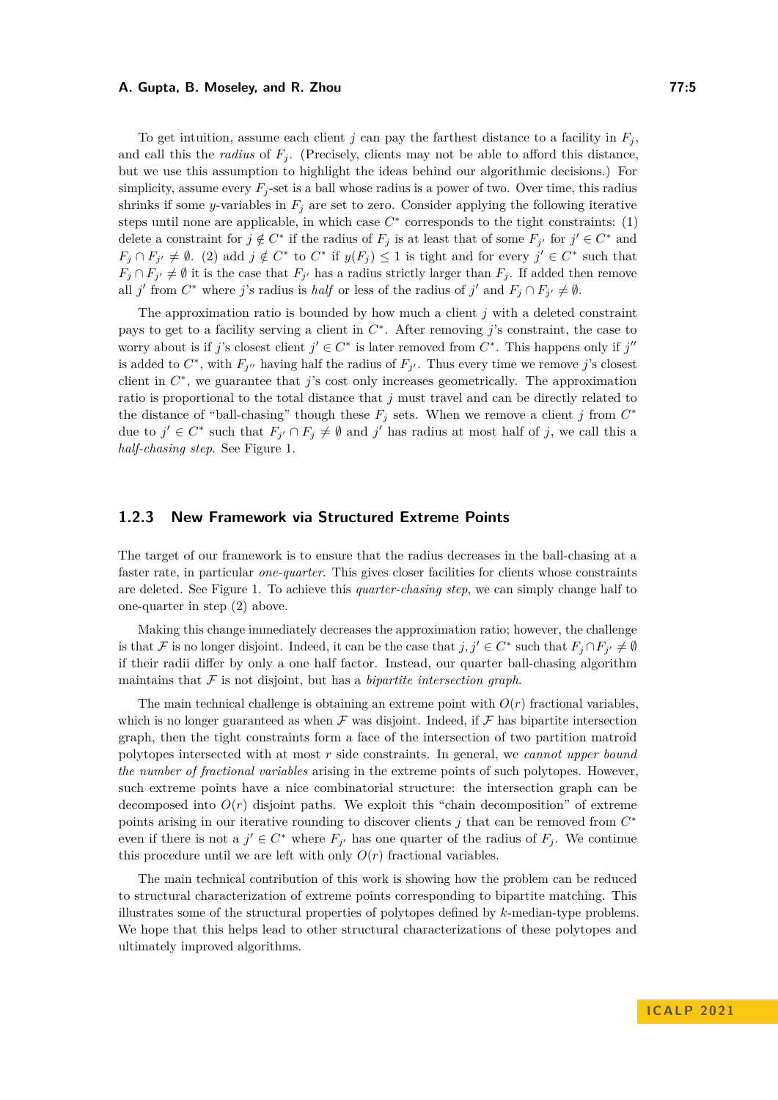To get intuition, assume each client *j* can pay the farthest distance to a facility in  $F_i$ , and call this the *radius* of  $F_i$ . (Precisely, clients may not be able to afford this distance, but we use this assumption to highlight the ideas behind our algorithmic decisions.) For simplicity, assume every  $F_j$ -set is a ball whose radius is a power of two. Over time, this radius shrinks if some *y*-variables in  $F_j$  are set to zero. Consider applying the following iterative steps until none are applicable, in which case  $C^*$  corresponds to the tight constraints:  $(1)$ delete a constraint for  $j \notin C^*$  if the radius of  $F_j$  is at least that of some  $F_{j'}$  for  $j' \in C^*$  and  $F_j \cap F_{j'} \neq \emptyset$ . (2) add  $j \notin C^*$  to  $C^*$  if  $y(F_j) \leq 1$  is tight and for every  $j' \in C^*$  such that  $F_j \cap F_{j'} \neq \emptyset$  it is the case that  $F_{j'}$  has a radius strictly larger than  $F_j$ . If added then remove all *j*' from  $C^*$  where *j*'s radius is *half* or less of the radius of *j*' and  $F_j \cap F_{j'} \neq \emptyset$ .

The approximation ratio is bounded by how much a client *j* with a deleted constraint pays to get to a facility serving a client in *C* ∗ . After removing *j*'s constraint, the case to worry about is if *j*'s closest client  $j' \in C^*$  is later removed from  $C^*$ . This happens only if  $j''$ is added to  $C^*$ , with  $F_{j''}$  having half the radius of  $F_{j'}$ . Thus every time we remove *j*'s closest client in *C* ∗ , we guarantee that *j*'s cost only increases geometrically. The approximation ratio is proportional to the total distance that *j* must travel and can be directly related to the distance of "ball-chasing" though these  $F_j$  sets. When we remove a client *j* from  $C^*$ due to  $j' \in C^*$  such that  $F_{j'} \cap F_j \neq \emptyset$  and  $j'$  has radius at most half of *j*, we call this a *half-chasing step*. See Figure [1.](#page-3-0)

## **1.2.3 New Framework via Structured Extreme Points**

The target of our framework is to ensure that the radius decreases in the ball-chasing at a faster rate, in particular *one-quarter*. This gives closer facilities for clients whose constraints are deleted. See Figure [1.](#page-3-0) To achieve this *quarter-chasing step*, we can simply change half to one-quarter in step (2) above.

Making this change immediately decreases the approximation ratio; however, the challenge is that F is no longer disjoint. Indeed, it can be the case that  $j, j' \in C^*$  such that  $F_j \cap F_{j'} \neq \emptyset$ if their radii differ by only a one half factor. Instead, our quarter ball-chasing algorithm maintains that  $\mathcal F$  is not disjoint, but has a *bipartite intersection graph*.

The main technical challenge is obtaining an extreme point with  $O(r)$  fractional variables, which is no longer guaranteed as when  $\mathcal F$  was disjoint. Indeed, if  $\mathcal F$  has bipartite intersection graph, then the tight constraints form a face of the intersection of two partition matroid polytopes intersected with at most *r* side constraints. In general, we *cannot upper bound the number of fractional variables* arising in the extreme points of such polytopes. However, such extreme points have a nice combinatorial structure: the intersection graph can be decomposed into  $O(r)$  disjoint paths. We exploit this "chain decomposition" of extreme points arising in our iterative rounding to discover clients *j* that can be removed from  $C^*$ even if there is not a  $j' \in C^*$  where  $F_{j'}$  has one quarter of the radius of  $F_j$ . We continue this procedure until we are left with only  $O(r)$  fractional variables.

The main technical contribution of this work is showing how the problem can be reduced to structural characterization of extreme points corresponding to bipartite matching. This illustrates some of the structural properties of polytopes defined by *k*-median-type problems. We hope that this helps lead to other structural characterizations of these polytopes and ultimately improved algorithms.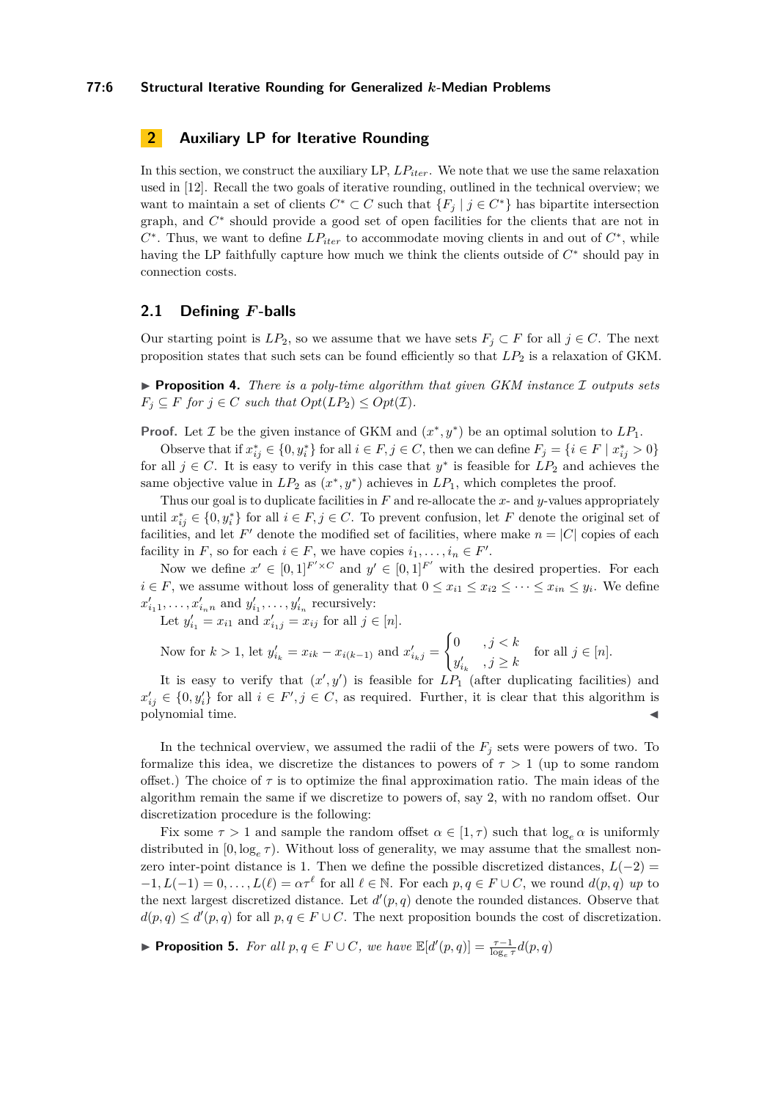#### **77:6 Structural Iterative Rounding for Generalized** *k***-Median Problems**

# <span id="page-5-1"></span>**2 Auxiliary LP for Iterative Rounding**

In this section, we construct the auxiliary LP, *LPiter*. We note that we use the same relaxation used in [\[12\]](#page-17-5). Recall the two goals of iterative rounding, outlined in the technical overview; we want to maintain a set of clients  $C^* \subset C$  such that  $\{F_j \mid j \in C^*\}$  has bipartite intersection graph, and  $C^*$  should provide a good set of open facilities for the clients that are not in  $C^*$ . Thus, we want to define  $LP_{iter}$  to accommodate moving clients in and out of  $C^*$ , while having the LP faithfully capture how much we think the clients outside of  $C^*$  should pay in connection costs.

# **2.1 Defining** *F***-balls**

Our starting point is  $LP_2$ , so we assume that we have sets  $F_i \subset F$  for all  $j \in C$ . The next proposition states that such sets can be found efficiently so that *LP*<sup>2</sup> is a relaxation of GKM.

<span id="page-5-0"></span>▶ **Proposition 4.** *There is a poly-time algorithm that given GKM instance* I *outputs sets*  $F_i \subseteq F$  *for*  $j \in C$  *such that*  $Opt(LP_2) \leq Opt(\mathcal{I})$ *.* 

**Proof.** Let *I* be the given instance of GKM and  $(x^*, y^*)$  be an optimal solution to  $LP_1$ .

Observe that if  $x_{ij}^* \in \{0, y_i^*\}$  for all  $i \in F, j \in C$ , then we can define  $F_j = \{i \in F \mid x_{ij}^* > 0\}$ for all  $j \in C$ . It is easy to verify in this case that  $y^*$  is feasible for  $LP_2$  and achieves the same objective value in  $LP_2$  as  $(x^*, y^*)$  achieves in  $LP_1$ , which completes the proof.

Thus our goal is to duplicate facilities in *F* and re-allocate the *x*- and *y*-values appropriately until  $x_{ij}^* \in \{0, y_i^*\}$  for all  $i \in F, j \in C$ . To prevent confusion, let *F* denote the original set of facilities, and let  $F'$  denote the modified set of facilities, where make  $n = |C|$  copies of each facility in *F*, so for each  $i \in F$ , we have copies  $i_1, \ldots, i_n \in F'$ .

Now we define  $x' \in [0,1]^{F' \times C}$  and  $y' \in [0,1]^{F'}$  with the desired properties. For each  $i \in F$ , we assume without loss of generality that  $0 \le x_{i1} \le x_{i2} \le \cdots \le x_{in} \le y_i$ . We define  $x'_{i_1 1}, \ldots, x'_{i_n n}$  and  $y'_{i_1}, \ldots, y'_{i_n}$  recursively:

Let  $y'_{i_1} = x_{i_1}$  and  $x'_{i_1j} = x_{ij}$  for all  $j \in [n]$ .

Now for 
$$
k > 1
$$
, let  $y'_{i_k} = x_{ik} - x_{i(k-1)}$  and  $x'_{i_k} = \begin{cases} 0 & , j < k \\ y'_{i_k} & , j \geq k \end{cases}$  for all  $j \in [n]$ .

It is easy to verify that  $(x', y')$  is feasible for  $LP_1$  (after duplicating facilities) and  $x'_{ij} \in \{0, y'_i\}$  for all  $i \in F', j \in C$ , as required. Further, it is clear that this algorithm is polynomial time.

In the technical overview, we assumed the radii of the  $F_i$  sets were powers of two. To formalize this idea, we discretize the distances to powers of  $\tau > 1$  (up to some random offset.) The choice of  $\tau$  is to optimize the final approximation ratio. The main ideas of the algorithm remain the same if we discretize to powers of, say 2, with no random offset. Our discretization procedure is the following:

Fix some  $\tau > 1$  and sample the random offset  $\alpha \in [1, \tau)$  such that  $\log_e \alpha$  is uniformly distributed in  $[0, \log_e \tau)$ . Without loss of generality, we may assume that the smallest nonzero inter-point distance is 1. Then we define the possible discretized distances,  $L(-2)$  =  $-1, L(-1) = 0, \ldots, L(\ell) = \alpha \tau^{\ell}$  for all  $\ell \in \mathbb{N}$ . For each  $p, q \in F \cup C$ , we round  $d(p, q)$  up to the next largest discretized distance. Let  $d'(p, q)$  denote the rounded distances. Observe that  $d(p,q) \leq d'(p,q)$  for all  $p,q \in F \cup C$ . The next proposition bounds the cost of discretization.

▶ **Proposition 5.** *For all*  $p, q \in F \cup C$ *, we have*  $\mathbb{E}[d'(p, q)] = \frac{\tau - 1}{\log_e \tau}d(p, q)$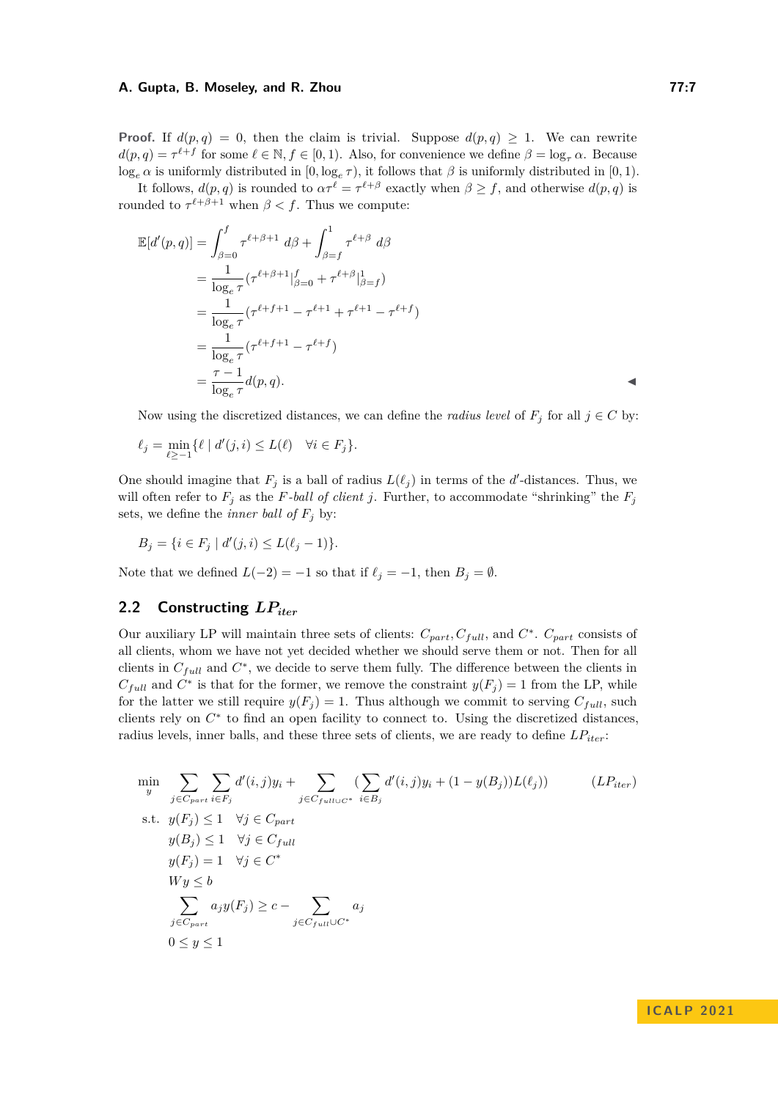**Proof.** If  $d(p,q) = 0$ , then the claim is trivial. Suppose  $d(p,q) \geq 1$ . We can rewrite  $d(p, q) = \tau^{\ell + f}$  for some  $\ell \in \mathbb{N}, f \in [0, 1)$ . Also, for convenience we define  $\beta = \log_{\tau} \alpha$ . Because  $\log_e \alpha$  is uniformly distributed in  $[0, \log_e \tau)$ , it follows that  $\beta$  is uniformly distributed in  $[0, 1)$ .

It follows,  $d(p, q)$  is rounded to  $\alpha \tau^{\ell} = \tau^{\ell+\beta}$  exactly when  $\beta \geq f$ , and otherwise  $d(p, q)$  is rounded to  $\tau^{\ell+\beta+1}$  when  $\beta < f$ . Thus we compute:

$$
\mathbb{E}[d'(p,q)] = \int_{\beta=0}^{f} \tau^{\ell+\beta+1} d\beta + \int_{\beta=f}^{1} \tau^{\ell+\beta} d\beta \n= \frac{1}{\log_{e} \tau} (\tau^{\ell+\beta+1}|_{\beta=0}^{f} + \tau^{\ell+\beta}|_{\beta=f}^{1}) \n= \frac{1}{\log_{e} \tau} (\tau^{\ell+f+1} - \tau^{\ell+1} + \tau^{\ell+1} - \tau^{\ell+f}) \n= \frac{1}{\log_{e} \tau} (\tau^{\ell+f+1} - \tau^{\ell+f}) \n= \frac{\tau-1}{\log_{e} \tau} d(p,q).
$$

Now using the discretized distances, we can define the *radius level* of  $F_j$  for all  $j \in C$  by:

$$
\ell_j = \min_{\ell \ge -1} \{ \ell \mid d'(j, i) \le L(\ell) \quad \forall i \in F_j \}.
$$

One should imagine that  $F_j$  is a ball of radius  $L(\ell_j)$  in terms of the *d*'-distances. Thus, we will often refer to  $F_j$  as the *F*-ball of client *j*. Further, to accommodate "shrinking" the  $F_j$ sets, we define the *inner ball of*  $F_j$  by:

$$
B_j = \{ i \in F_j \mid d'(j, i) \le L(\ell_j - 1) \}.
$$

Note that we defined  $L(-2) = -1$  so that if  $\ell_j = -1$ , then  $B_j = \emptyset$ .

## 2.2 Constructing  $LP_{iter}$

Our auxiliary LP will maintain three sets of clients:  $C_{part}$ ,  $C_{full}$ , and  $C^*$ .  $C_{part}$  consists of all clients, whom we have not yet decided whether we should serve them or not. Then for all clients in  $C_{full}$  and  $C^*$ , we decide to serve them fully. The difference between the clients in  $C_{full}$  and  $C^*$  is that for the former, we remove the constraint  $y(F_j) = 1$  from the LP, while for the latter we still require  $y(F_i) = 1$ . Thus although we commit to serving  $C_{full}$ , such clients rely on  $C^*$  to find an open facility to connect to. Using the discretized distances, radius levels, inner balls, and these three sets of clients, we are ready to define *LPiter*:

$$
\min_{y} \sum_{j \in C_{part}} \sum_{i \in F_j} d'(i, j) y_i + \sum_{j \in C_{full} \cup C^*} (\sum_{i \in B_j} d'(i, j) y_i + (1 - y(B_j)) L(\ell_j)) \qquad (LP_{iter})
$$
\n
$$
\text{s.t. } y(F_j) \le 1 \quad \forall j \in C_{part}
$$
\n
$$
y(B_j) \le 1 \quad \forall j \in C_{full}
$$
\n
$$
y(F_j) = 1 \quad \forall j \in C^*
$$
\n
$$
W y \le b
$$
\n
$$
\sum_{j \in C_{part}} a_j y(F_j) \ge c - \sum_{j \in C_{full} \cup C^*} a_j
$$
\n
$$
0 \le y \le 1
$$
\n
$$
(LP_{iter})
$$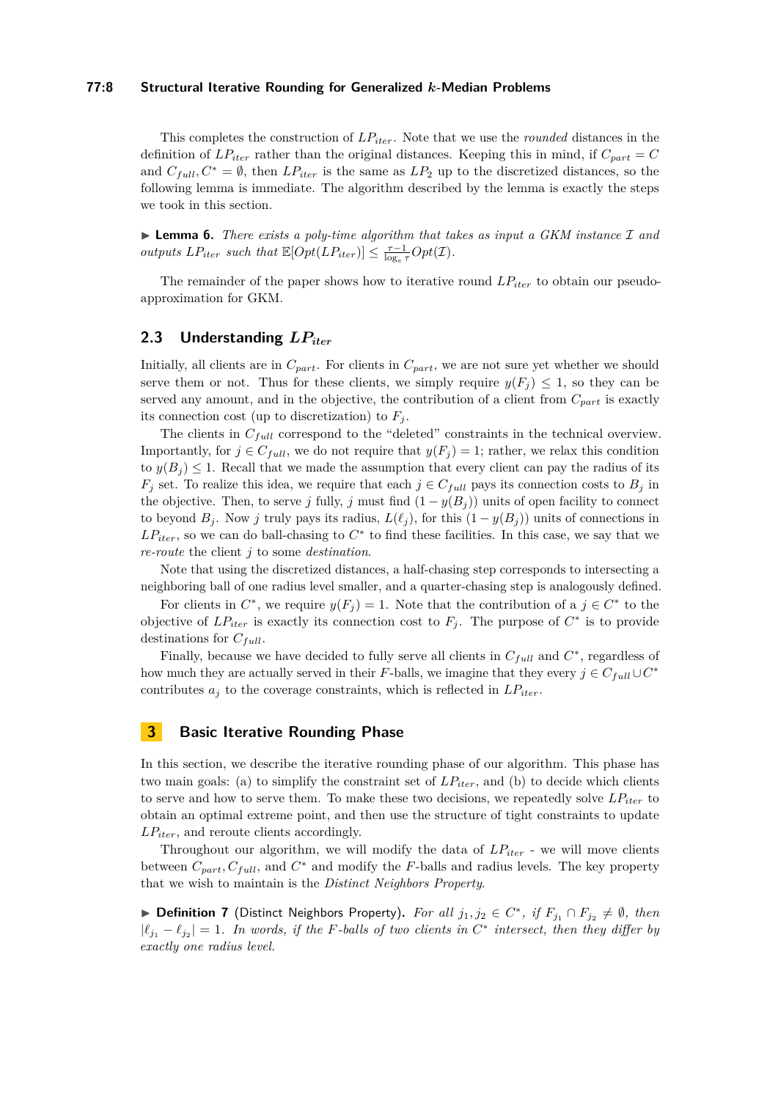#### **77:8 Structural Iterative Rounding for Generalized** *k***-Median Problems**

This completes the construction of *LPiter*. Note that we use the *rounded* distances in the definition of  $LP_{iter}$  rather than the original distances. Keeping this in mind, if  $C_{part} = C$ and  $C_f_{ull}$ ,  $C^* = \emptyset$ , then  $LP_{iter}$  is the same as  $LP_2$  up to the discretized distances, so the following lemma is immediate. The algorithm described by the lemma is exactly the steps we took in this section.

<span id="page-7-1"></span>▶ **Lemma 6.** *There exists a poly-time algorithm that takes as input a GKM instance* I *and outputs*  $LP_{iter}$  *such that*  $\mathbb{E}[Opt(LP_{iter})] \leq \frac{\tau-1}{\log_e \tau} Opt(\mathcal{I})$ *.* 

The remainder of the paper shows how to iterative round *LPiter* to obtain our pseudoapproximation for GKM.

# **2.3 Understanding** *LPiter*

Initially, all clients are in  $C_{part}$ . For clients in  $C_{part}$ , we are not sure yet whether we should serve them or not. Thus for these clients, we simply require  $y(F_i) \leq 1$ , so they can be served any amount, and in the objective, the contribution of a client from  $C_{part}$  is exactly its connection cost (up to discretization) to  $F_i$ .

The clients in *Cfull* correspond to the "deleted" constraints in the technical overview. Importantly, for  $j \in C_{full}$ , we do not require that  $y(F_j) = 1$ ; rather, we relax this condition to  $y(B_i) \leq 1$ . Recall that we made the assumption that every client can pay the radius of its  $F_j$  set. To realize this idea, we require that each  $j \in C_{full}$  pays its connection costs to  $B_j$  in the objective. Then, to serve *j* fully, *j* must find  $(1 - y(B_i))$  units of open facility to connect to beyond  $B_j$ . Now *j* truly pays its radius,  $L(\ell_j)$ , for this  $(1 - y(B_j))$  units of connections in  $LP_{iter}$ , so we can do ball-chasing to  $C^*$  to find these facilities. In this case, we say that we *re-route* the client *j* to some *destination*.

Note that using the discretized distances, a half-chasing step corresponds to intersecting a neighboring ball of one radius level smaller, and a quarter-chasing step is analogously defined.

For clients in  $C^*$ , we require  $y(F_j) = 1$ . Note that the contribution of a  $j \in C^*$  to the objective of  $LP_{iter}$  is exactly its connection cost to  $F_j$ . The purpose of  $C^*$  is to provide destinations for *Cfull*.

Finally, because we have decided to fully serve all clients in  $C_{full}$  and  $C^*$ , regardless of how much they are actually served in their *F*-balls, we imagine that they every  $j \in C_{full} \cup C^*$ contributes  $a_j$  to the coverage constraints, which is reflected in  $LP_{iter}$ .

## <span id="page-7-0"></span>**3 Basic Iterative Rounding Phase**

In this section, we describe the iterative rounding phase of our algorithm. This phase has two main goals: (a) to simplify the constraint set of *LPiter*, and (b) to decide which clients to serve and how to serve them. To make these two decisions, we repeatedly solve  $LP_{iter}$  to obtain an optimal extreme point, and then use the structure of tight constraints to update *LPiter*, and reroute clients accordingly.

Throughout our algorithm, we will modify the data of *LPiter* - we will move clients between  $C_{part}$ ,  $C_{full}$ , and  $C^*$  and modify the *F*-balls and radius levels. The key property that we wish to maintain is the *Distinct Neighbors Property*.

▶ **Definition 7** (Distinct Neighbors Property). For all  $j_1, j_2 \in C^*$ , if  $F_{j_1} \cap F_{j_2} \neq \emptyset$ , then  $|\ell_{j_1} - \ell_{j_2}| = 1$ . In words, if the *F*-balls of two clients in  $C^*$  intersect, then they differ by *exactly one radius level.*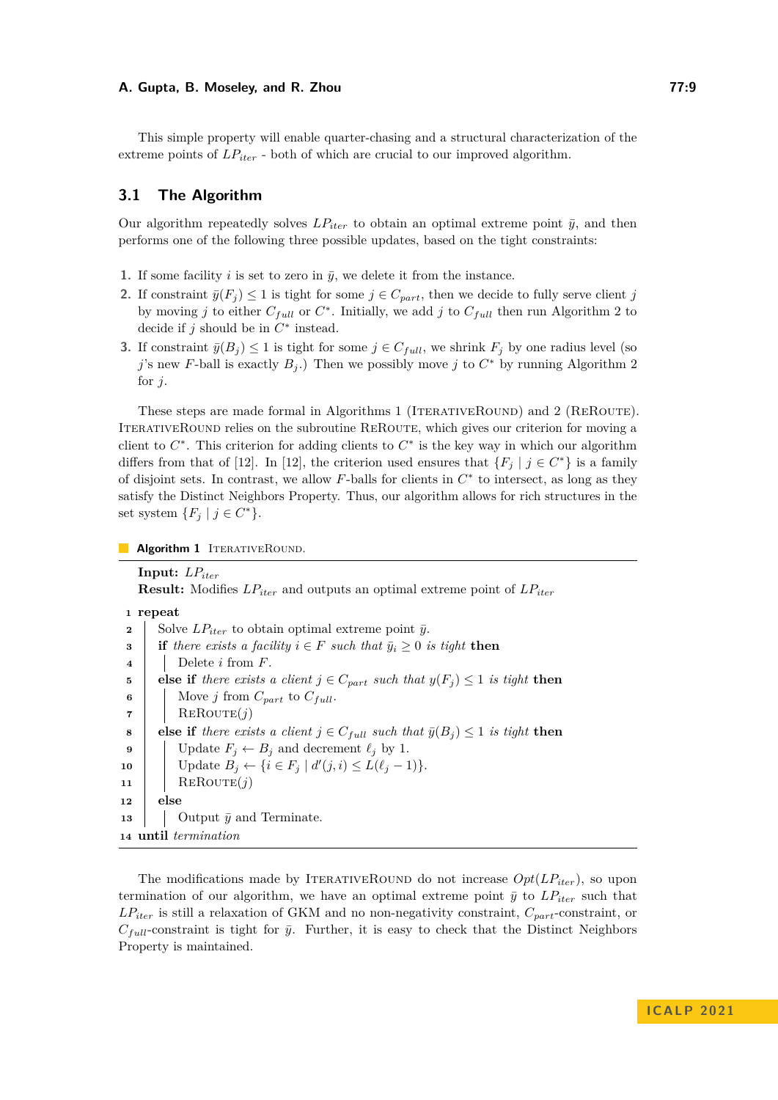This simple property will enable quarter-chasing and a structural characterization of the extreme points of  $LP_{iter}$  - both of which are crucial to our improved algorithm.

# **3.1 The Algorithm**

Our algorithm repeatedly solves  $LP_{iter}$  to obtain an optimal extreme point  $\bar{y}$ , and then performs one of the following three possible updates, based on the tight constraints:

- **1.** If some facility *i* is set to zero in  $\bar{y}$ , we delete it from the instance.
- **2.** If constraint  $\bar{y}(F_j) \leq 1$  is tight for some  $j \in C_{part}$ , then we decide to fully serve client *j* by moving *j* to either  $C_{full}$  or  $C^*$ . Initially, we add *j* to  $C_{full}$  then run Algorithm [2](#page-9-0) to decide if  $j$  should be in  $C^*$  instead.
- **3.** If constraint  $\bar{y}(B_j) \leq 1$  is tight for some  $j \in C_{full}$ , we shrink  $F_j$  by one radius level (so *j*'s new *F*-ball is exactly  $B_j$ .) Then we possibly move *j* to  $C^*$  by running Algorithm [2](#page-9-0) for *j*.

These steps are made formal in Algorithms [1](#page-8-0) (ITERATIVEROUND) and [2](#page-9-0) (REROUTE). ITERATIVEROUND relies on the subroutine REROUTE, which gives our criterion for moving a client to  $C^*$ . This criterion for adding clients to  $C^*$  is the key way in which our algorithm differs from that of [\[12\]](#page-17-5). In [12], the criterion used ensures that  ${F_j | j \in C^* }$  is a family of disjoint sets. In contrast, we allow  $F$ -balls for clients in  $C^*$  to intersect, as long as they satisfy the Distinct Neighbors Property. Thus, our algorithm allows for rich structures in the set system  $\{F_j \mid j \in C^*\}.$ 

**Algorithm 1** ITERATIVEROUND.

**Input:** *LPiter* **Result:** Modifies *LPiter* and outputs an optimal extreme point of *LPiter* **<sup>1</sup> repeat** Solve  $LP_{iter}$  to obtain optimal extreme point  $\bar{y}$ . **i if** there exists a facility  $i \in F$  such that  $\bar{y}_i \geq 0$  is tight **then**  Delete *i* from *F*. **else if** there exists a client  $j \in C_{part}$  such that  $y(F_j) \leq 1$  is tight then Move *j* from  $C_{part}$  to  $C_{full}$ .  $\mathbf{7}$  | REROUTE $(j)$  **else if** *there exists a client*  $j \in C_{full}$  *such that*  $\bar{y}(B_i) \leq 1$  *is tight* **then**  | Update  $F_j \leftarrow B_j$  and decrement  $\ell_j$  by 1.  $\left| \right| \text{Update } B_j \leftarrow \{i \in F_j \mid d'(j, i) \le L(\ell_j - 1) \}.$ 11 | REROUTE $(j)$ **<sup>12</sup> else**  $\Box$  Output  $\bar{y}$  and Terminate. **until** *termination*

<span id="page-8-0"></span>The modifications made by ITERATIVEROUND do not increase  $Opt(LE_{iter})$ , so upon termination of our algorithm, we have an optimal extreme point  $\bar{y}$  to  $LP_{iter}$  such that *LPiter* is still a relaxation of GKM and no non-negativity constraint, *Cpart*-constraint, or  $C_{full}$ -constraint is tight for  $\bar{y}$ . Further, it is easy to check that the Distinct Neighbors Property is maintained.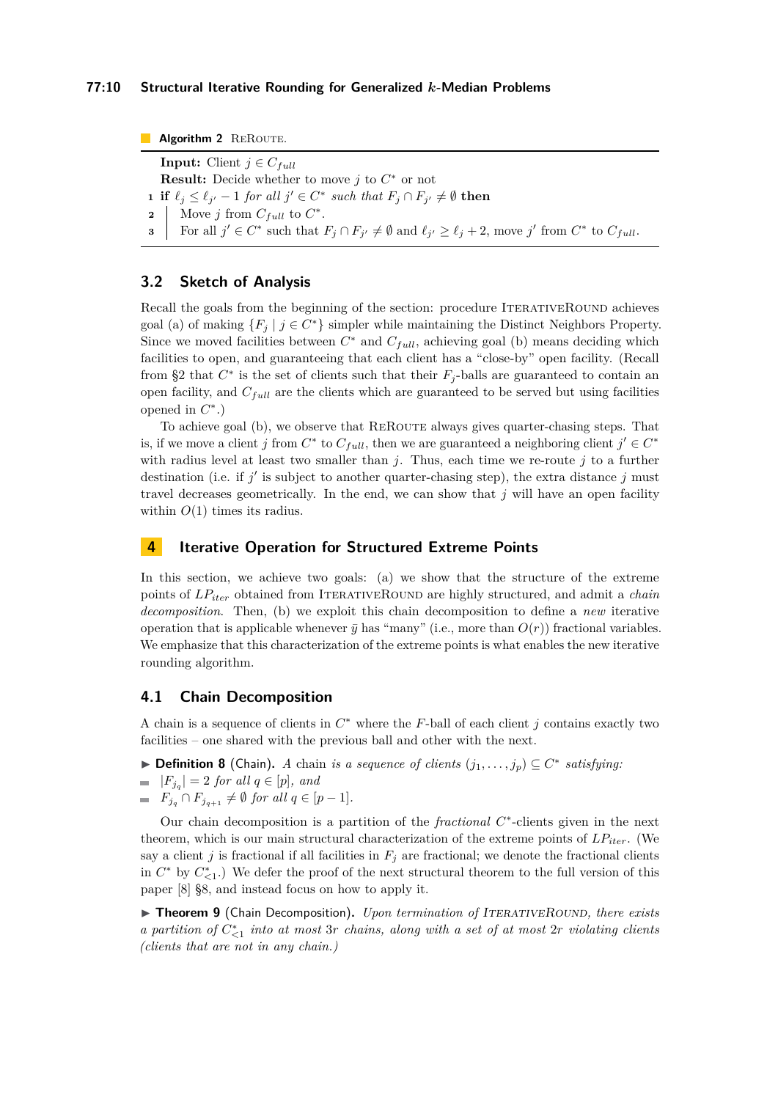**Algorithm 2** REROUTE.

**Input:** Client  $j \in C_{full}$ **Result:** Decide whether to move *j* to *C* <sup>∗</sup> or not

**1 if**  $\ell_j \leq \ell_{j'} - 1$  *for all*  $j' \in C^*$  *such that*  $F_j \cap F_{j'} \neq \emptyset$  **then** 

**2** Now *j* from 
$$
C_{full}
$$
 to  $C^*$ .

<span id="page-9-0"></span>**3** For all  $j' \in C^*$  such that  $F_j \cap F_{j'} \neq \emptyset$  and  $\ell_{j'} \geq \ell_j + 2$ , move  $j'$  from  $C^*$  to  $C_{full}$ .

# **3.2 Sketch of Analysis**

Recall the goals from the beginning of the section: procedure ITERATIVEROUND achieves goal (a) of making  ${F_j \mid j \in C^*}$  simpler while maintaining the Distinct Neighbors Property. Since we moved facilities between  $C^*$  and  $C_{full}$ , achieving goal (b) means deciding which facilities to open, and guaranteeing that each client has a "close-by" open facility. (Recall from [§2](#page-5-1) that  $C^*$  is the set of clients such that their  $F_j$ -balls are guaranteed to contain an open facility, and *Cfull* are the clients which are guaranteed to be served but using facilities opened in  $C^*$ .)

To achieve goal (b), we observe that REROUTE always gives quarter-chasing steps. That is, if we move a client *j* from  $C^*$  to  $C_{full}$ , then we are guaranteed a neighboring client  $j' \in C^*$ with radius level at least two smaller than *j*. Thus, each time we re-route *j* to a further destination (i.e. if *j'* is subject to another quarter-chasing step), the extra distance *j* must travel decreases geometrically. In the end, we can show that  $j$  will have an open facility within  $O(1)$  times its radius.

## <span id="page-9-2"></span>**4 Iterative Operation for Structured Extreme Points**

In this section, we achieve two goals: (a) we show that the structure of the extreme points of  $LP_{iter}$  obtained from ITERATIVEROUND are highly structured, and admit a *chain decomposition*. Then, (b) we exploit this chain decomposition to define a *new* iterative operation that is applicable whenever  $\bar{y}$  has "many" (i.e., more than  $O(r)$ ) fractional variables. We emphasize that this characterization of the extreme points is what enables the new iterative rounding algorithm.

## **4.1 Chain Decomposition**

A chain is a sequence of clients in *C* <sup>∗</sup> where the *F*-ball of each client *j* contains exactly two facilities – one shared with the previous ball and other with the next.

- ▶ **Definition 8** (Chain). *A* chain *is a sequence of clients*  $(j_1, \ldots, j_p) \subseteq C^*$  *satisfying*:
- $|F_{j_q}| = 2$  *for all*  $q \in [p]$ *, and*
- $F_{j_q} \cap F_{j_{q+1}} \neq \emptyset$  *for all*  $q \in [p-1]$ *.*

Our chain decomposition is a partition of the *fractional C* ∗ -clients given in the next theorem, which is our main structural characterization of the extreme points of  $LP_{iter}$ . (We say a client *j* is fractional if all facilities in  $F_j$  are fractional; we denote the fractional clients in  $C^*$  by  $C_{\leq 1}^*$ .) We defer the proof of the next structural theorem to the full version of this paper [\[8\]](#page-17-6) §8, and instead focus on how to apply it.

<span id="page-9-1"></span>▶ **Theorem 9** (Chain Decomposition). *Upon termination of ITERATIVEROUND, there exists a partition of C* ∗ *<*1 *into at most* 3*r chains, along with a set of at most* 2*r violating clients (clients that are not in any chain.)*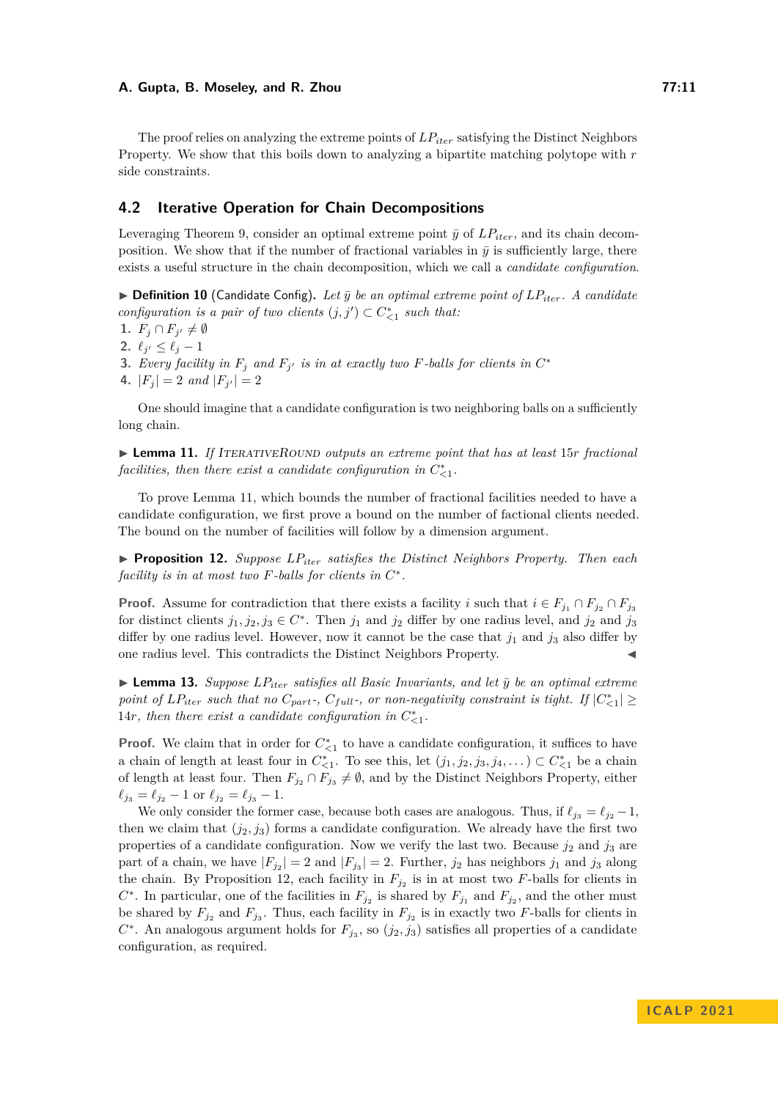The proof relies on analyzing the extreme points of *LPiter* satisfying the Distinct Neighbors Property. We show that this boils down to analyzing a bipartite matching polytope with *r* side constraints.

## **4.2 Iterative Operation for Chain Decompositions**

Leveraging Theorem [9,](#page-9-1) consider an optimal extreme point  $\bar{y}$  of  $LP_{iter}$ , and its chain decomposition. We show that if the number of fractional variables in  $\bar{y}$  is sufficiently large, there exists a useful structure in the chain decomposition, which we call a *candidate configuration*.

 $\triangleright$  **Definition 10** (Candidate Config). Let  $\bar{y}$  be an optimal extreme point of  $LP_{iter}$ . A candidate *configuration is a pair of two clients*  $(j, j') \subset C_{\leq 1}^*$  such that:

1.  $F_j \cap F_{j'} \neq \emptyset$ 

**2.**  $\ell_{j'} \leq \ell_j - 1$ 

**3.** *Every facility in*  $F_j$  *and*  $F_{j'}$  *is in at exactly two*  $F$ -balls for clients in  $C^*$ 

**4.**  $|F_j| = 2$  and  $|F_{j'}| = 2$ 

One should imagine that a candidate configuration is two neighboring balls on a sufficiently long chain.

<span id="page-10-0"></span>▶ **Lemma 11.** *If* ITERATIVEROUND outputs an extreme point that has at least 15*r fractional facilities, then there exist a candidate configuration in*  $C_{\leq 1}^*$ .

To prove Lemma [11,](#page-10-0) which bounds the number of fractional facilities needed to have a candidate configuration, we first prove a bound on the number of factional clients needed. The bound on the number of facilities will follow by a dimension argument.

<span id="page-10-1"></span>▶ **Proposition 12.** *Suppose LPiter satisfies the Distinct Neighbors Property. Then each facility is in at most two*  $F$ *-balls for clients in*  $C^*$ *.* 

**Proof.** Assume for contradiction that there exists a facility *i* such that  $i \in F_{j_1} \cap F_{j_2} \cap F_{j_3}$ for distinct clients  $j_1, j_2, j_3 \in C^*$ . Then  $j_1$  and  $j_2$  differ by one radius level, and  $j_2$  and  $j_3$ differ by one radius level. However, now it cannot be the case that  $j_1$  and  $j_3$  also differ by one radius level. This contradicts the Distinct Neighbors Property.

<span id="page-10-2"></span> $\blacktriangleright$  **Lemma 13.** *Suppose LP*<sub>iter</sub> *satisfies all Basic Invariants, and let*  $\bar{y}$  *be an optimal extreme point of*  $LP_{iter}$  *such that no*  $C_{part}$ *-*,  $C_{full}$ *-*, *or non-negativity constraint is tight.* If  $|C_{\leq 1}^*| \geq$ 14*r, then there exist a candidate configuration in*  $C_{\leq 1}^*$ *.* 

**Proof.** We claim that in order for  $C_{\leq 1}^*$  to have a candidate configuration, it suffices to have a chain of length at least four in  $C_{\leq 1}^*$ . To see this, let  $(j_1, j_2, j_3, j_4, \ldots) \subset C_{\leq 1}^*$  be a chain of length at least four. Then  $F_{j_2} \cap F_{j_3} \neq \emptyset$ , and by the Distinct Neighbors Property, either  $\ell_{j_3} = \ell_{j_2} - 1$  or  $\ell_{j_2} = \ell_{j_3} - 1$ .

We only consider the former case, because both cases are analogous. Thus, if  $\ell_{i3} = \ell_{i2} - 1$ , then we claim that  $(j_2, j_3)$  forms a candidate configuration. We already have the first two properties of a candidate configuration. Now we verify the last two. Because  $j_2$  and  $j_3$  are part of a chain, we have  $|F_{j_2}| = 2$  and  $|F_{j_3}| = 2$ . Further,  $j_2$  has neighbors  $j_1$  and  $j_3$  along the chain. By Proposition [12,](#page-10-1) each facility in  $F_{j_2}$  is in at most two *F*-balls for clients in  $C^*$ . In particular, one of the facilities in  $F_{j_2}$  is shared by  $F_{j_1}$  and  $F_{j_2}$ , and the other must be shared by  $F_{j_2}$  and  $F_{j_3}$ . Thus, each facility in  $F_{j_2}$  is in exactly two *F*-balls for clients in  $C^*$ . An analogous argument holds for  $F_{j_3}$ , so  $(j_2, j_3)$  satisfies all properties of a candidate configuration, as required.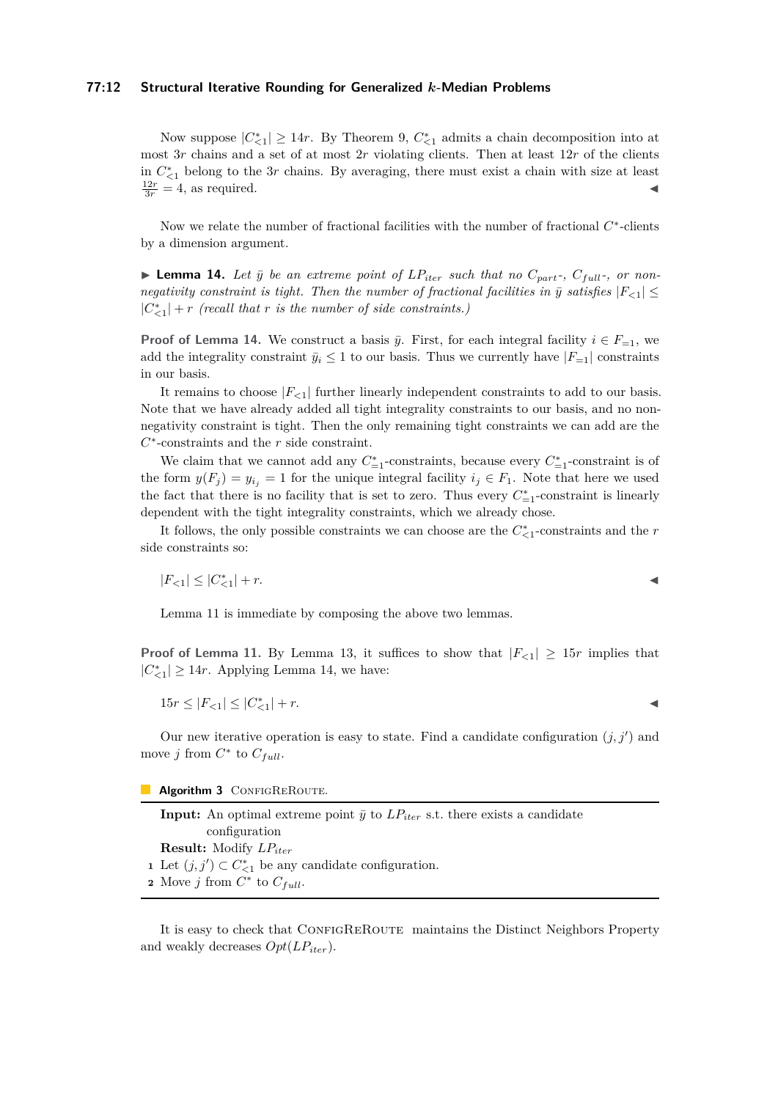### **77:12 Structural Iterative Rounding for Generalized** *k***-Median Problems**

Now suppose  $|C^*_{\leq 1}| \geq 14r$ . By Theorem [9,](#page-9-1)  $C^*_{\leq 1}$  admits a chain decomposition into at most 3*r* chains and a set of at most 2*r* violating clients. Then at least 12*r* of the clients in  $C_{\leq 1}^*$  belong to the 3*r* chains. By averaging, there must exist a chain with size at least  $\frac{12r}{3r} = 4$ , as required.

Now we relate the number of fractional facilities with the number of fractional  $C^*$ -clients by a dimension argument.

<span id="page-11-0"></span> $\blacktriangleright$  **Lemma 14.** Let  $\bar{y}$  be an extreme point of  $LP_{iter}$  such that no  $C_{part}$ ,  $C_{full}$ , or non*negativity constraint is tight. Then the number of fractional facilities in*  $\bar{y}$  satisfies  $|F_{\leq 1}| \leq$  $|C^*_{\leq 1}| + r$  (recall that *r* is the number of side constraints.)

**Proof of Lemma [14.](#page-11-0)** We construct a basis  $\bar{y}$ . First, for each integral facility  $i \in F_{=1}$ , we add the integrality constraint  $\bar{y}_i \leq 1$  to our basis. Thus we currently have  $|F_{-1}|$  constraints in our basis.

It remains to choose  $|F_{<1}|$  further linearly independent constraints to add to our basis. Note that we have already added all tight integrality constraints to our basis, and no nonnegativity constraint is tight. Then the only remaining tight constraints we can add are the *C* ∗ -constraints and the *r* side constraint.

We claim that we cannot add any  $C_{=1}^*$ -constraints, because every  $C_{=1}^*$ -constraint is of the form  $y(F_i) = y_i$  = 1 for the unique integral facility  $i_j \in F_1$ . Note that here we used the fact that there is no facility that is set to zero. Thus every  $C_{-1}^*$ -constraint is linearly dependent with the tight integrality constraints, which we already chose.

It follows, the only possible constraints we can choose are the  $C^*_{\leq 1}$ -constraints and the *r* side constraints so:

 $|F_{< 1}| \leq |C^*_{< 1}|$  $| + r$ .

Lemma [11](#page-10-0) is immediate by composing the above two lemmas.

**Proof of Lemma [11.](#page-10-0)** By Lemma [13,](#page-10-2) it suffices to show that  $|F_{\leq 1}| \geq 15r$  implies that  $|C^*_{\leq 1}|$  ≥ 14*r*. Applying Lemma [14,](#page-11-0) we have:

$$
15r \le |F_{<1}| \le |C_{<1}^*| + r.
$$

Our new iterative operation is easy to state. Find a candidate configuration  $(j, j')$  and move *j* from  $C^*$  to  $C_{full}$ .

Algorithm 3 CONFIGREROUTE.

**Input:** An optimal extreme point  $\bar{y}$  to  $LP_{iter}$  s.t. there exists a candidate configuration **Result:** Modify *LPiter* **1** Let  $(j, j') \subset C^*_{\leq 1}$  be any candidate configuration. **2** Move *j* from  $C^*$  to  $C_{full}$ .

It is easy to check that CONFIGREROUTE maintains the Distinct Neighbors Property and weakly decreases *Opt*(*LPiter*).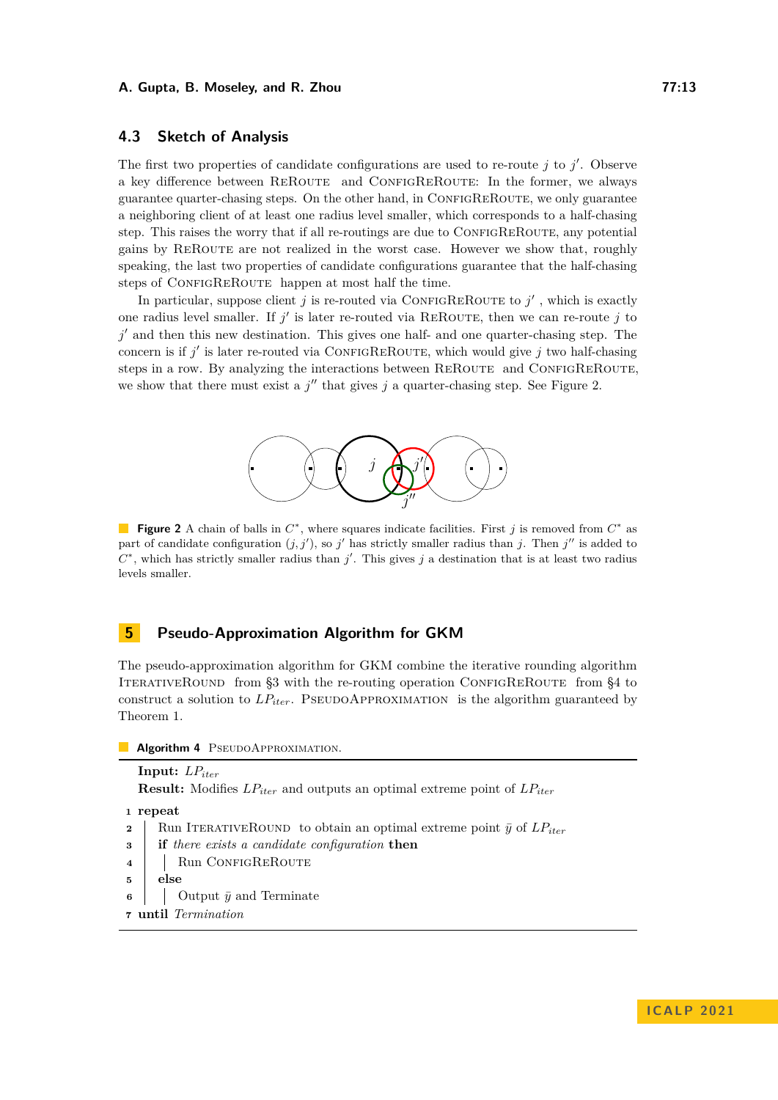# **4.3 Sketch of Analysis**

The first two properties of candidate configurations are used to re-route  $j$  to  $j'$ . Observe a key difference between REROUTE and CONFIGREROUTE: In the former, we always guarantee quarter-chasing steps. On the other hand, in ConfigReRoute, we only guarantee a neighboring client of at least one radius level smaller, which corresponds to a half-chasing step. This raises the worry that if all re-routings are due to CONFIGREROUTE, any potential gains by REROUTE are not realized in the worst case. However we show that, roughly speaking, the last two properties of candidate configurations guarantee that the half-chasing steps of CONFIGREROUTE happen at most half the time.

<span id="page-12-0"></span>In particular, suppose client *j* is re-routed via CONFIGREROUTE to  $j'$ , which is exactly one radius level smaller. If  $j'$  is later re-routed via REROUTE, then we can re-route  $j$  to j' and then this new destination. This gives one half- and one quarter-chasing step. The concern is if  $j'$  is later re-routed via CONFIGREROUTE, which would give  $j$  two half-chasing steps in a row. By analyzing the interactions between REROUTE and CONFIGREROUTE, we show that there must exist a  $j''$  that gives  $j$  a quarter-chasing step. See Figure [2.](#page-12-0)



**Figure 2** A chain of balls in  $C^*$ , where squares indicate facilities. First *j* is removed from  $C^*$  as part of candidate configuration  $(j, j')$ , so  $j'$  has strictly smaller radius than *j*. Then  $j''$  is added to  $C^*$ , which has strictly smaller radius than *j*'. This gives *j* a destination that is at least two radius levels smaller.

# **5 Pseudo-Approximation Algorithm for GKM**

The pseudo-approximation algorithm for GKM combine the iterative rounding algorithm ITERATIVEROUND from [§3](#page-7-0) with the re-routing operation CONFIGREROUTE from [§4](#page-9-2) to construct a solution to  $LP_{iter}$ . PSEUDOAPPROXIMATION is the algorithm guaranteed by Theorem [1.](#page-1-0)

**Algorithm 4** PSEUDOAPPROXIMATION.

```
Input: LPiter
  Result: Modifies LPiter and outputs an optimal extreme point of LPiter
1 repeat
2 Run ITERATIVEROUND to obtain an optimal extreme point \bar{y} of LP_{iter}3 if there exists a candidate configuration then
4 | Run CONFIGREROUTE
5 else
```
- **6**  $\Box$  Output  $\bar{y}$  and Terminate
- **<sup>7</sup> until** *Termination*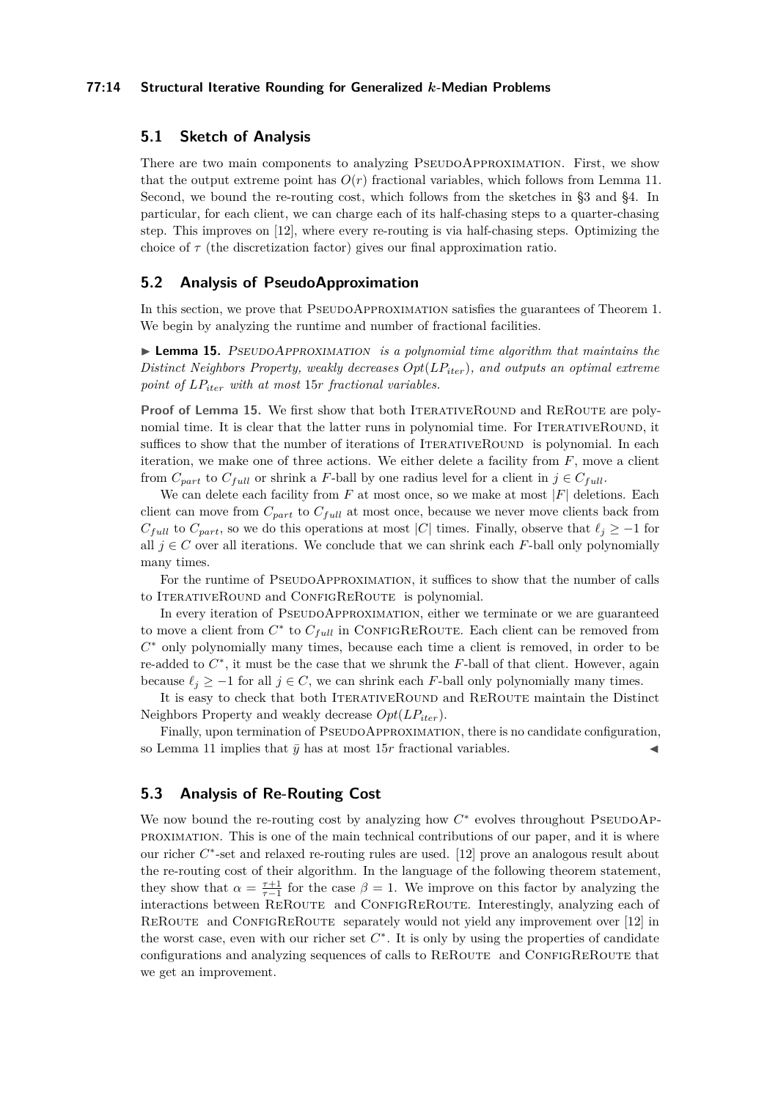### **77:14 Structural Iterative Rounding for Generalized** *k***-Median Problems**

# **5.1 Sketch of Analysis**

There are two main components to analyzing PSEUDOAPPROXIMATION. First, we show that the output extreme point has  $O(r)$  fractional variables, which follows from Lemma [11.](#page-10-0) Second, we bound the re-routing cost, which follows from the sketches in [§3](#page-7-0) and [§4.](#page-9-2) In particular, for each client, we can charge each of its half-chasing steps to a quarter-chasing step. This improves on [\[12\]](#page-17-5), where every re-routing is via half-chasing steps. Optimizing the choice of *τ* (the discretization factor) gives our final approximation ratio.

## **5.2 Analysis of PseudoApproximation**

In this section, we prove that PSEUDOAPPROXIMATION satisfies the guarantees of Theorem [1.](#page-1-0) We begin by analyzing the runtime and number of fractional facilities.

<span id="page-13-0"></span>▶ **Lemma 15.** PSEUDOAPPROXIMATION *is a polynomial time algorithm that maintains the Distinct Neighbors Property, weakly decreases Opt*(*LPiter*)*, and outputs an optimal extreme point of LPiter with at most* 15*r fractional variables.*

**Proof of Lemma [15.](#page-13-0)** We first show that both ITERATIVEROUND and REROUTE are polynomial time. It is clear that the latter runs in polynomial time. For ITERATIVEROUND, it suffices to show that the number of iterations of ITERATIVEROUND is polynomial. In each iteration, we make one of three actions. We either delete a facility from *F*, move a client from  $C_{part}$  to  $C_{full}$  or shrink a *F*-ball by one radius level for a client in  $j \in C_{full}$ .

We can delete each facility from  $F$  at most once, so we make at most  $|F|$  deletions. Each client can move from *Cpart* to *Cfull* at most once, because we never move clients back from  $C_{full}$  to  $C_{part}$ , so we do this operations at most |*C*| times. Finally, observe that  $\ell_j \geq -1$  for all  $j \in C$  over all iterations. We conclude that we can shrink each F-ball only polynomially many times.

For the runtime of PSEUDOAPPROXIMATION, it suffices to show that the number of calls to ITERATIVEROUND and CONFIGREROUTE is polynomial.

In every iteration of PSEUDOAPPROXIMATION, either we terminate or we are guaranteed to move a client from  $C^*$  to  $C_{full}$  in CONFIGREROUTE. Each client can be removed from *C* <sup>∗</sup> only polynomially many times, because each time a client is removed, in order to be re-added to *C* ∗ , it must be the case that we shrunk the *F*-ball of that client. However, again because  $\ell_j \geq -1$  for all  $j \in C$ , we can shrink each *F*-ball only polynomially many times.

It is easy to check that both ITERATIVEROUND and REROUTE maintain the Distinct Neighbors Property and weakly decrease *Opt*(*LPiter*).

Finally, upon termination of PSEUDOAPPROXIMATION, there is no candidate configuration, so Lemma [11](#page-10-0) implies that  $\bar{y}$  has at most 15*r* fractional variables.

## **5.3 Analysis of Re-Routing Cost**

<span id="page-13-1"></span>We now bound the re-routing cost by analyzing how  $C^*$  evolves throughout PSEUDOAPproximation. This is one of the main technical contributions of our paper, and it is where our richer  $C^*$ -set and relaxed re-routing rules are used. [\[12\]](#page-17-5) prove an analogous result about the re-routing cost of their algorithm. In the language of the following theorem statement, they show that  $\alpha = \frac{\tau+1}{\tau-1}$  for the case  $\beta = 1$ . We improve on this factor by analyzing the interactions between REROUTE and CONFIGREROUTE. Interestingly, analyzing each of REROUTE and CONFIGREROUTE separately would not yield any improvement over [\[12\]](#page-17-5) in the worst case, even with our richer set  $C^*$ . It is only by using the properties of candidate configurations and analyzing sequences of calls to REROUTE and CONFIGREROUTE that we get an improvement.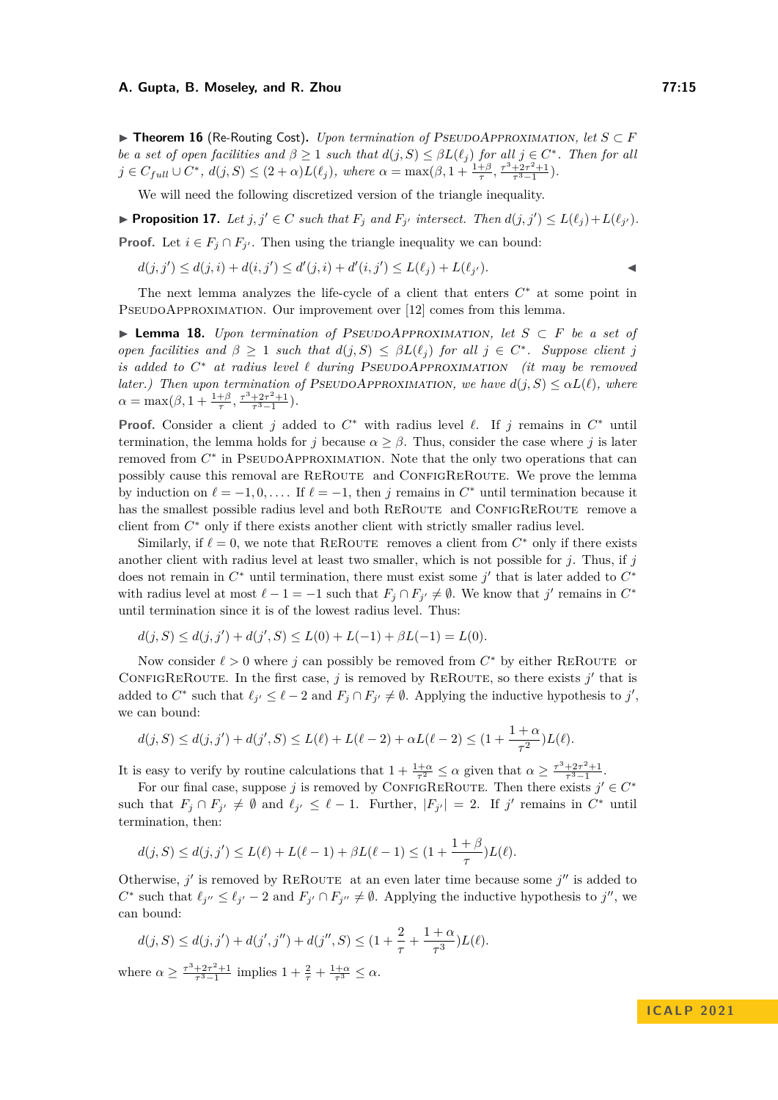▶ **Theorem 16** (Re-Routing Cost)**.** *Upon termination of* PseudoApproximation*, let S* ⊂ *F be a set of open facilities and*  $\beta \geq 1$  *such that*  $d(j, S) \leq \beta L(\ell_j)$  *for all*  $j \in C^*$ *. Then for all*  $j \in C_{full} \cup C^*, d(j, S) \le (2 + \alpha)L(\ell_j),$  where  $\alpha = \max(\beta, 1 + \frac{1+\beta}{\tau}, \frac{\tau^3 + 2\tau^2 + 1}{\tau^3 - 1}).$ 

We will need the following discretized version of the triangle inequality.

$$
\blacktriangleright \text{Proposition 17. Let } j, j' \in C \text{ such that } F_j \text{ and } F_{j'} \text{ intersect. Then } d(j, j') \le L(\ell_j) + L(\ell_{j'}).
$$

**Proof.** Let  $i \in F_j \cap F_{j'}$ . Then using the triangle inequality we can bound:

$$
d(j, j') \le d(j, i) + d(i, j') \le d'(j, i) + d'(i, j') \le L(\ell_j) + L(\ell_{j'}).
$$

The next lemma analyzes the life-cycle of a client that enters *C* <sup>∗</sup> at some point in PSEUDOAPPROXIMATION. Our improvement over [\[12\]](#page-17-5) comes from this lemma.

<span id="page-14-0"></span>▶ **Lemma 18.** *Upon termination of* PseudoApproximation*, let S* ⊂ *F be a set of open facilities and*  $\beta \geq 1$  *such that*  $d(j, S) \leq \beta L(\ell_j)$  *for all*  $j \in C^*$ *. Suppose client j is added to*  $C^*$  *at radius level ℓ during* PSEUDOAPPROXIMATION *(it may be removed later.)* Then upon termination of PSEUDOAPPROXIMATION, we have  $d(j, S) \leq \alpha L(\ell)$ , where  $\alpha = \max(\beta, 1 + \frac{1+\beta}{\tau}, \frac{\tau^3 + 2\tau^2 + 1}{\tau^3 - 1}).$ 

**Proof.** Consider a client *j* added to  $C^*$  with radius level  $\ell$ . If *j* remains in  $C^*$  until termination, the lemma holds for *j* because  $\alpha > \beta$ . Thus, consider the case where *j* is later removed from  $C^*$  in PSEUDOAPPROXIMATION. Note that the only two operations that can possibly cause this removal are REROUTE and CONFIGREROUTE. We prove the lemma by induction on  $\ell = -1, 0, \ldots$ . If  $\ell = -1$ , then *j* remains in  $C^*$  until termination because it has the smallest possible radius level and both REROUTE and CONFIGREROUTE remove a client from *C* <sup>∗</sup> only if there exists another client with strictly smaller radius level.

Similarly, if  $\ell = 0$ , we note that REROUTE removes a client from  $C^*$  only if there exists another client with radius level at least two smaller, which is not possible for *j*. Thus, if *j* does not remain in  $C^*$  until termination, there must exist some  $j'$  that is later added to  $C^*$ with radius level at most  $\ell - 1 = -1$  such that  $F_j \cap F_{j'} \neq \emptyset$ . We know that  $j'$  remains in  $C^*$ until termination since it is of the lowest radius level. Thus:

$$
d(j, S) \le d(j, j') + d(j', S) \le L(0) + L(-1) + \beta L(-1) = L(0).
$$

Now consider  $\ell > 0$  where *j* can possibly be removed from  $C^*$  by either REROUTE or CONFIGREROUTE. In the first case,  $j$  is removed by REROUTE, so there exists  $j'$  that is added to  $C^*$  such that  $\ell_{j'} \leq \ell - 2$  and  $F_j \cap F_{j'} \neq \emptyset$ . Applying the inductive hypothesis to  $j'$ , we can bound:

$$
d(j,S) \leq d(j,j') + d(j',S) \leq L(\ell) + L(\ell-2) + \alpha L(\ell-2) \leq (1 + \frac{1+\alpha}{\tau^2}) L(\ell).
$$

It is easy to verify by routine calculations that  $1 + \frac{1+\alpha}{\tau^2} \leq \alpha$  given that  $\alpha \geq \frac{\tau^3 + 2\tau^2 + 1}{\tau^3 - 1}$ .

For our final case, suppose *j* is removed by CONFIGREROUTE. Then there exists  $j' \in C^*$ such that  $F_j \cap F_{j'} \neq \emptyset$  and  $\ell_{j'} \leq \ell - 1$ . Further,  $|F_{j'}| = 2$ . If  $j'$  remains in  $C^*$  until termination, then:

$$
d(j, S) \le d(j, j') \le L(\ell) + L(\ell - 1) + \beta L(\ell - 1) \le (1 + \frac{1 + \beta}{\tau})L(\ell).
$$

Otherwise,  $j'$  is removed by REROUTE at an even later time because some  $j''$  is added to  $C^*$  such that  $\ell_{j''} \leq \ell_{j'} - 2$  and  $F_{j'} \cap F_{j''} \neq \emptyset$ . Applying the inductive hypothesis to  $j''$ , we can bound:

$$
d(j, S) \le d(j, j') + d(j', j'') + d(j'', S) \le (1 + \frac{2}{\tau} + \frac{1 + \alpha}{\tau^3})L(\ell).
$$

where  $\alpha \geq \frac{\tau^3 + 2\tau^2 + 1}{\tau^3 - 1}$  implies  $1 + \frac{2}{\tau} + \frac{1+\alpha}{\tau^3} \leq \alpha$ .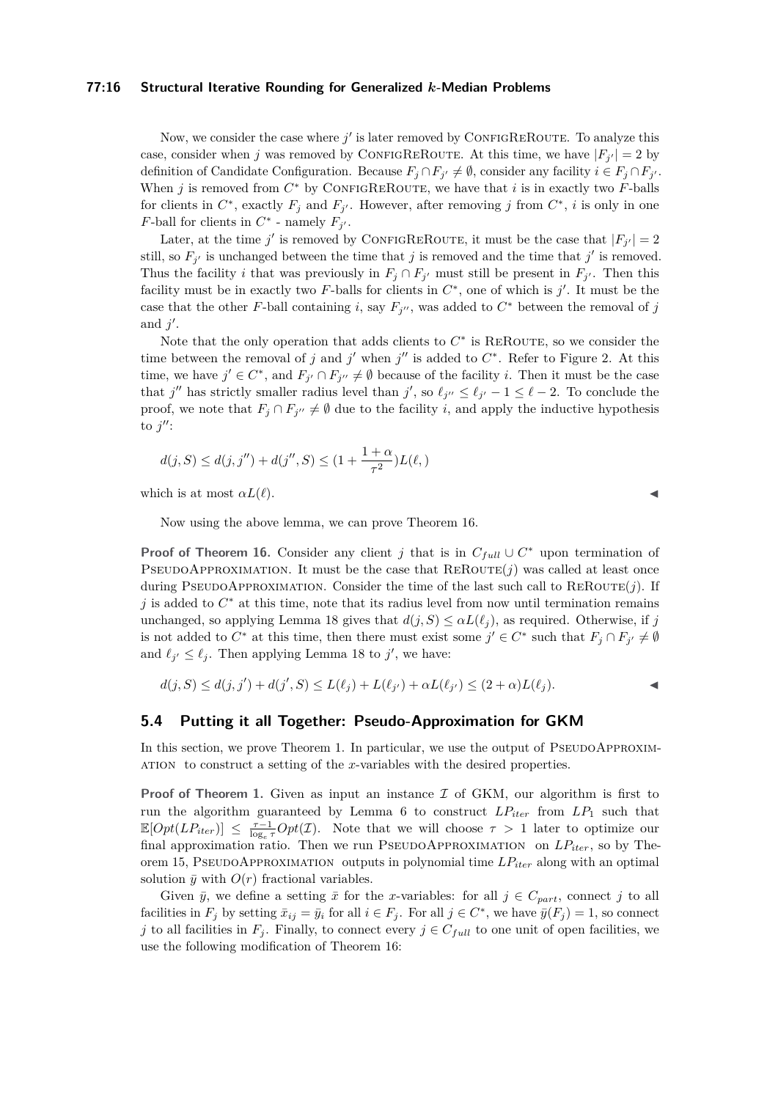### **77:16 Structural Iterative Rounding for Generalized** *k***-Median Problems**

Now, we consider the case where  $j'$  is later removed by CONFIGREROUTE. To analyze this case, consider when *j* was removed by CONFIGREROUTE. At this time, we have  $|F_{j'}|=2$  by definition of Candidate Configuration. Because  $F_j \cap F_{j'} \neq \emptyset$ , consider any facility  $i \in F_j \cap F_{j'}$ . When  $j$  is removed from  $C^*$  by CONFIGREROUTE, we have that  $i$  is in exactly two  $F$ -balls for clients in  $C^*$ , exactly  $F_j$  and  $F_{j'}$ . However, after removing *j* from  $C^*$ , *i* is only in one *F*-ball for clients in  $C^*$  - namely  $F_j$ .

Later, at the time *j'* is removed by CONFIGREROUTE, it must be the case that  $|F_{j'}|=2$ still, so  $F_{j'}$  is unchanged between the time that *j* is removed and the time that *j'* is removed. Thus the facility *i* that was previously in  $F_j \cap F_{j'}$  must still be present in  $F_{j'}$ . Then this facility must be in exactly two  $F$ -balls for clients in  $C^*$ , one of which is  $j'$ . It must be the case that the other *F*-ball containing *i*, say  $F_j$ <sup>*''*</sup>, was added to  $C^*$  between the removal of *j* and  $j'$ .

Note that the only operation that adds clients to  $C^*$  is REROUTE, so we consider the time between the removal of *j* and *j*' when *j*" is added to  $C^*$ . Refer to Figure [2.](#page-12-0) At this time, we have  $j' \in C^*$ , and  $F_{j'} \cap F_{j''} \neq \emptyset$  because of the facility *i*. Then it must be the case that *j''* has strictly smaller radius level than *j'*, so  $\ell_{j''} \leq \ell_{j'} - 1 \leq \ell - 2$ . To conclude the proof, we note that  $F_j \cap F_{j''} \neq \emptyset$  due to the facility *i*, and apply the inductive hypothesis to  $j''$ :

$$
d(j, S) \le d(j, j'') + d(j'', S) \le (1 + \frac{1+\alpha}{\tau^2})L(\ell, )
$$

which is at most  $\alpha L(\ell)$ .

Now using the above lemma, we can prove Theorem [16.](#page-13-1)

**Proof of Theorem [16.](#page-13-1)** Consider any client *j* that is in  $C_{full} \cup C^*$  upon termination of PSEUDOAPPROXIMATION. It must be the case that  $REROUTE(j)$  was called at least once during PSEUDOAPPROXIMATION. Consider the time of the last such call to  $\text{REROUTE}(j)$ . If *j* is added to  $C^*$  at this time, note that its radius level from now until termination remains unchanged, so applying Lemma [18](#page-14-0) gives that  $d(j, S) \leq \alpha L(\ell_j)$ , as required. Otherwise, if *j* is not added to  $C^*$  at this time, then there must exist some  $j' \in C^*$  such that  $F_j \cap F_{j'} \neq \emptyset$ and  $\ell_{j'} \leq \ell_j$ . Then applying Lemma [18](#page-14-0) to  $j'$ , we have:

$$
d(j, S) \le d(j, j') + d(j', S) \le L(\ell_j) + L(\ell_{j'}) + \alpha L(\ell_{j'}) \le (2 + \alpha)L(\ell_j).
$$

## **5.4 Putting it all Together: Pseudo-Approximation for GKM**

In this section, we prove Theorem [1.](#page-1-0) In particular, we use the output of PSEUDOAPPROXIMation to construct a setting of the *x*-variables with the desired properties.

**Proof of Theorem [1.](#page-1-0)** Given as input an instance  $\mathcal{I}$  of GKM, our algorithm is first to run the algorithm guaranteed by Lemma [6](#page-7-1) to construct  $LP_{iter}$  from  $LP_1$  such that  $\mathbb{E}[Opt(LP_{iter})] \leq \frac{\tau-1}{\log_e \tau} Opt(\mathcal{I}).$  Note that we will choose  $\tau > 1$  later to optimize our final approximation ratio. Then we run PseudoApproximation on *LPiter*, so by Theorem [15,](#page-13-0) PseudoApproximation outputs in polynomial time *LPiter* along with an optimal solution  $\bar{y}$  with  $O(r)$  fractional variables.

<span id="page-15-0"></span>Given  $\bar{y}$ , we define a setting  $\bar{x}$  for the *x*-variables: for all  $j \in C_{part}$ , connect  $j$  to all facilities in  $F_j$  by setting  $\bar{x}_{ij} = \bar{y}_i$  for all  $i \in F_j$ . For all  $j \in C^*$ , we have  $\bar{y}(F_j) = 1$ , so connect *j* to all facilities in  $F_j$ . Finally, to connect every  $j \in C_{full}$  to one unit of open facilities, we use the following modification of Theorem [16:](#page-13-1)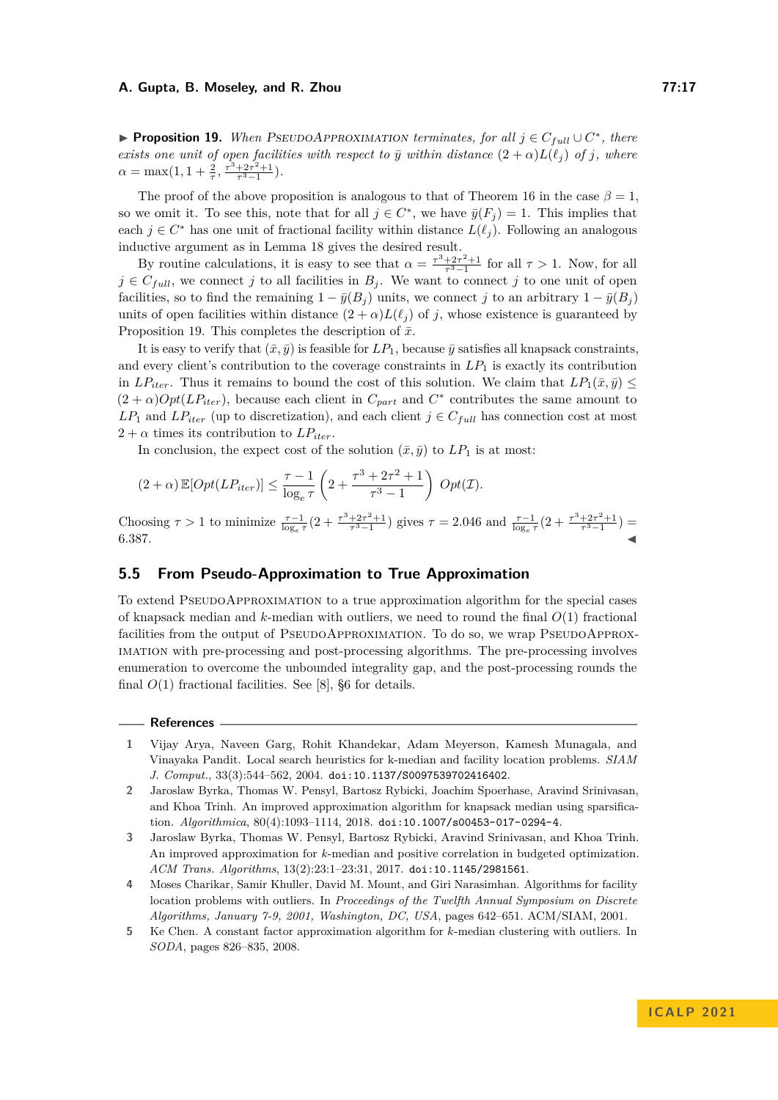▶ **Proposition 19.** *When* PSEUDOAPPROXIMATION *terminates, for all*  $j \in C_{full} \cup C^*$ *, there exists one unit of open facilities with respect to*  $\bar{y}$  *within distance*  $(2 + \alpha)L(\ell_j)$  *of j, where*  $\alpha = \max(1, 1 + \frac{2}{\tau}, \frac{\tau^3 + 2\tau^2 + 1}{\tau^3 - 1}).$ 

The proof of the above proposition is analogous to that of Theorem [16](#page-13-1) in the case  $\beta = 1$ , so we omit it. To see this, note that for all  $j \in C^*$ , we have  $\bar{y}(F_j) = 1$ . This implies that each  $j \in C^*$  has one unit of fractional facility within distance  $L(\ell_j)$ . Following an analogous inductive argument as in Lemma [18](#page-14-0) gives the desired result.

By routine calculations, it is easy to see that  $\alpha = \frac{\tau^3 + 2\tau^2 + 1}{\tau^3 - 1}$  for all  $\tau > 1$ . Now, for all  $j \in C_{full}$ , we connect *j* to all facilities in  $B_j$ . We want to connect *j* to one unit of open facilities, so to find the remaining  $1 - \bar{y}(B_i)$  units, we connect *j* to an arbitrary  $1 - \bar{y}(B_i)$ units of open facilities within distance  $(2 + \alpha)L(\ell_i)$  of *j*, whose existence is guaranteed by Proposition [19.](#page-15-0) This completes the description of  $\bar{x}$ .

It is easy to verify that  $(\bar{x}, \bar{y})$  is feasible for  $LP_1$ , because  $\bar{y}$  satisfies all knapsack constraints, and every client's contribution to the coverage constraints in  $LP_1$  is exactly its contribution in *LP*<sub>iter</sub>. Thus it remains to bound the cost of this solution. We claim that  $LP_1(\bar{x}, \bar{y}) \leq$  $(2 + \alpha)Opt(LP_{iter})$ , because each client in  $C_{part}$  and  $C^*$  contributes the same amount to  $LP_1$  and  $LP_{iter}$  (up to discretization), and each client  $j \in C_{full}$  has connection cost at most  $2 + \alpha$  times its contribution to  $LP_{iter}$ .

In conclusion, the expect cost of the solution  $(\bar{x}, \bar{y})$  to  $LP_1$  is at most:

$$
(2+\alpha)\mathbb{E}[Opt(LP_{iter})] \leq \frac{\tau-1}{\log_e \tau} \left(2 + \frac{\tau^3 + 2\tau^2 + 1}{\tau^3 - 1}\right) Opt(\mathcal{I}).
$$

Choosing *τ* > 1 to minimize  $\frac{\tau-1}{\log_e \tau}(2 + \frac{\tau^3 + 2\tau^2 + 1}{\tau^3 - 1})$  gives *τ* = 2.046 and  $\frac{\tau-1}{\log_e \tau}(2 + \frac{\tau^3 + 2\tau^2 + 1}{\tau^3 - 1})$  = 6*.*387. ◀

# **5.5 From Pseudo-Approximation to True Approximation**

To extend PseudoApproximation to a true approximation algorithm for the special cases of knapsack median and *k*-median with outliers, we need to round the final *O*(1) fractional facilities from the output of PSEUDOAPPROXIMATION. To do so, we wrap PSEUDOAPPROXimation with pre-processing and post-processing algorithms. The pre-processing involves enumeration to overcome the unbounded integrality gap, and the post-processing rounds the final  $O(1)$  fractional facilities. See [\[8\]](#page-17-6), §6 for details.

#### **References**

- <span id="page-16-1"></span>**1** Vijay Arya, Naveen Garg, Rohit Khandekar, Adam Meyerson, Kamesh Munagala, and Vinayaka Pandit. Local search heuristics for k-median and facility location problems. *SIAM J. Comput.*, 33(3):544–562, 2004. [doi:10.1137/S0097539702416402](https://doi.org/10.1137/S0097539702416402).
- <span id="page-16-3"></span>**2** Jaroslaw Byrka, Thomas W. Pensyl, Bartosz Rybicki, Joachim Spoerhase, Aravind Srinivasan, and Khoa Trinh. An improved approximation algorithm for knapsack median using sparsification. *Algorithmica*, 80(4):1093–1114, 2018. [doi:10.1007/s00453-017-0294-4](https://doi.org/10.1007/s00453-017-0294-4).
- <span id="page-16-0"></span>**3** Jaroslaw Byrka, Thomas W. Pensyl, Bartosz Rybicki, Aravind Srinivasan, and Khoa Trinh. An improved approximation for *k*-median and positive correlation in budgeted optimization. *ACM Trans. Algorithms*, 13(2):23:1–23:31, 2017. [doi:10.1145/2981561](https://doi.org/10.1145/2981561).
- <span id="page-16-2"></span>**4** Moses Charikar, Samir Khuller, David M. Mount, and Giri Narasimhan. Algorithms for facility location problems with outliers. In *Proceedings of the Twelfth Annual Symposium on Discrete Algorithms, January 7-9, 2001, Washington, DC, USA*, pages 642–651. ACM/SIAM, 2001.
- <span id="page-16-4"></span>**5** Ke Chen. A constant factor approximation algorithm for *k*-median clustering with outliers. In *SODA*, pages 826–835, 2008.